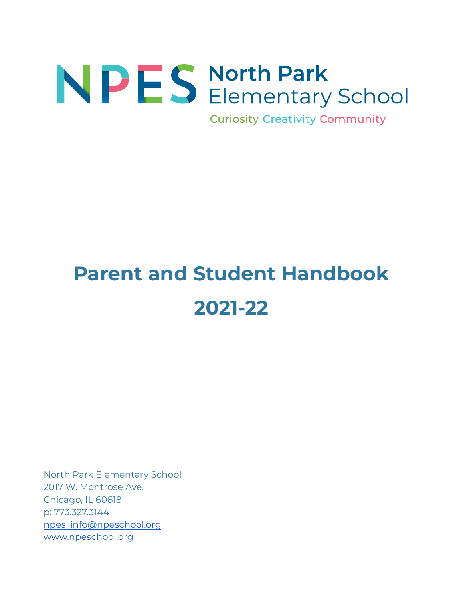# NPES North Park<br>Elementary School

**Curiosity Creativity Community** 

# **Parent and Student Handbook 2021-22**

North Park Elementary School 2017 W. Montrose Ave. Chicago, IL 60618 p: 773.327.3144 [npes\\_info@npeschool.org](mailto:npes_info@npeschool.org) [www.npeschool.org](http://www.npeschool.org)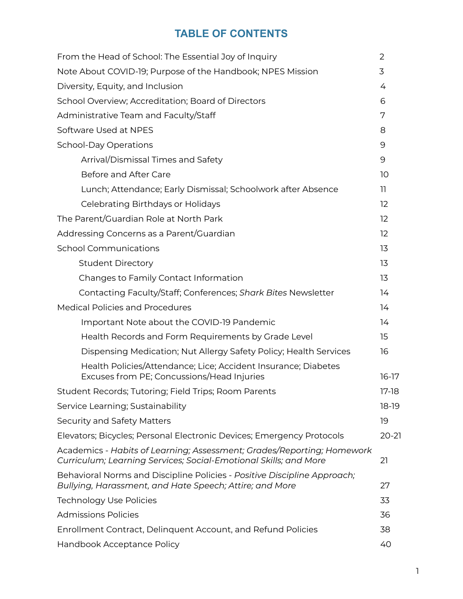# **TABLE OF CONTENTS**

| From the Head of School: The Essential Joy of Inquiry                                                                                      | 2                 |
|--------------------------------------------------------------------------------------------------------------------------------------------|-------------------|
| Note About COVID-19; Purpose of the Handbook; NPES Mission                                                                                 | 3                 |
| Diversity, Equity, and Inclusion                                                                                                           | 4                 |
| School Overview; Accreditation; Board of Directors                                                                                         | 6                 |
| Administrative Team and Faculty/Staff                                                                                                      | 7                 |
| Software Used at NPES                                                                                                                      | 8                 |
| <b>School-Day Operations</b>                                                                                                               | 9                 |
| Arrival/Dismissal Times and Safety                                                                                                         | 9                 |
| Before and After Care                                                                                                                      | 10                |
| Lunch; Attendance; Early Dismissal; Schoolwork after Absence                                                                               | 11                |
| Celebrating Birthdays or Holidays                                                                                                          | $12 \overline{ }$ |
| The Parent/Guardian Role at North Park                                                                                                     | 12                |
| Addressing Concerns as a Parent/Guardian                                                                                                   | 12                |
| <b>School Communications</b>                                                                                                               | 13                |
| <b>Student Directory</b>                                                                                                                   | 13                |
| Changes to Family Contact Information                                                                                                      | 13                |
| Contacting Faculty/Staff; Conferences; Shark Bites Newsletter                                                                              | 14                |
| <b>Medical Policies and Procedures</b>                                                                                                     | 14                |
| Important Note about the COVID-19 Pandemic                                                                                                 | 14                |
| Health Records and Form Requirements by Grade Level                                                                                        | 15                |
| Dispensing Medication; Nut Allergy Safety Policy; Health Services                                                                          | 16                |
| Health Policies/Attendance; Lice; Accident Insurance; Diabetes<br>Excuses from PE; Concussions/Head Injuries                               | $16-17$           |
| Student Records; Tutoring; Field Trips; Room Parents                                                                                       | $17-18$           |
| Service Learning; Sustainability                                                                                                           | $18-19$           |
| Security and Safety Matters                                                                                                                | 19                |
| Elevators; Bicycles; Personal Electronic Devices; Emergency Protocols                                                                      | $20 - 21$         |
| Academics - Habits of Learning; Assessment; Grades/Reporting; Homework<br>Curriculum; Learning Services; Social-Emotional Skills; and More | 21                |
| Behavioral Norms and Discipline Policies - Positive Discipline Approach;<br>Bullying, Harassment, and Hate Speech; Attire; and More        | 27                |
| <b>Technology Use Policies</b>                                                                                                             | 33                |
| <b>Admissions Policies</b>                                                                                                                 | 36                |
| Enrollment Contract, Delinquent Account, and Refund Policies                                                                               | 38                |
| Handbook Acceptance Policy                                                                                                                 | 40                |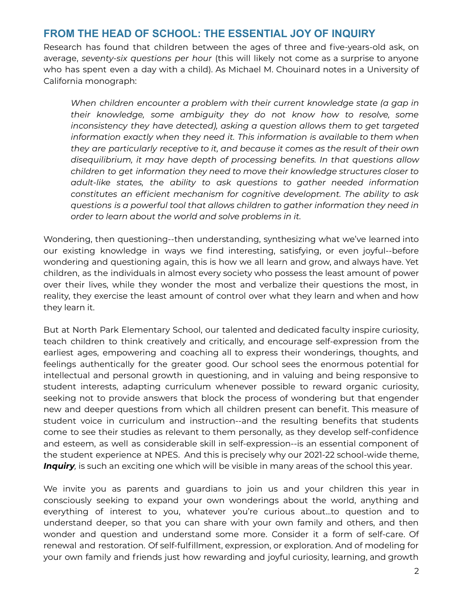# **FROM THE HEAD OF SCHOOL: THE ESSENTIAL JOY OF INQUIRY**

Research has found that children between the ages of three and five-years-old ask, on average, *seventy-six questions per hour* (this will likely not come as a surprise to anyone who has spent even a day with a child). As Michael M. Chouinard notes in a University of California monograph:

*When children encounter a problem with their current knowledge state (a gap in their knowledge, some ambiguity they do not know how to resolve, some inconsistency they have detected), asking a question allows them to get targeted information exactly when they need it. This information is available to them when they are particularly receptive to it, and because it comes as the result of their own disequilibrium, it may have depth of processing benefits. In that questions allow children to get information they need to move their knowledge structures closer to adult-like states, the ability to ask questions to gather needed information constitutes an efficient mechanism for cognitive development. The ability to ask questions is a powerful tool that allows children to gather information they need in order to learn about the world and solve problems in it.*

Wondering, then questioning--then understanding, synthesizing what we've learned into our existing knowledge in ways we find interesting, satisfying, or even joyful--before wondering and questioning again, this is how we all learn and grow, and always have. Yet children, as the individuals in almost every society who possess the least amount of power over their lives, while they wonder the most and verbalize their questions the most, in reality, they exercise the least amount of control over what they learn and when and how they learn it.

But at North Park Elementary School, our talented and dedicated faculty inspire curiosity, teach children to think creatively and critically, and encourage self-expression from the earliest ages, empowering and coaching all to express their wonderings, thoughts, and feelings authentically for the greater good. Our school sees the enormous potential for intellectual and personal growth in questioning, and in valuing and being responsive to student interests, adapting curriculum whenever possible to reward organic curiosity, seeking not to provide answers that block the process of wondering but that engender new and deeper questions from which all children present can benefit. This measure of student voice in curriculum and instruction--and the resulting benefits that students come to see their studies as relevant to them personally, as they develop self-confidence and esteem, as well as considerable skill in self-expression--is an essential component of the student experience at NPES. And this is precisely why our 2021-22 school-wide theme, *Inquiry,* is such an exciting one which will be visible in many areas of the school this year.

We invite you as parents and guardians to join us and your children this year in consciously seeking to expand your own wonderings about the world, anything and everything of interest to you, whatever you're curious about...to question and to understand deeper, so that you can share with your own family and others, and then wonder and question and understand some more. Consider it a form of self-care. Of renewal and restoration. Of self-fulfillment, expression, or exploration. And of modeling for your own family and friends just how rewarding and joyful curiosity, learning, and growth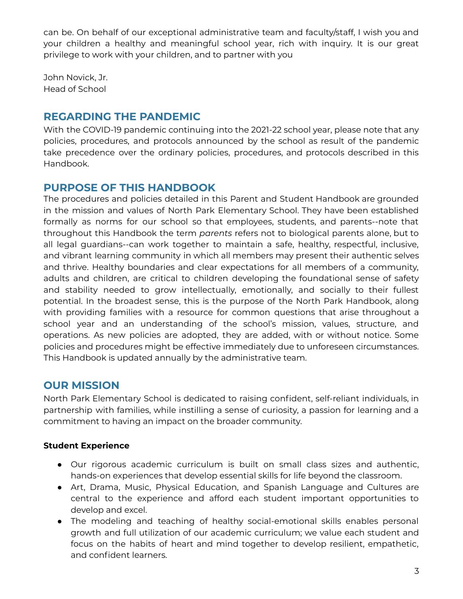can be. On behalf of our exceptional administrative team and faculty/staff, I wish you and your children a healthy and meaningful school year, rich with inquiry. It is our great privilege to work with your children, and to partner with you

John Novick, Jr. Head of School

# **REGARDING THE PANDEMIC**

With the COVID-19 pandemic continuing into the 2021-22 school year, please note that any policies, procedures, and protocols announced by the school as result of the pandemic take precedence over the ordinary policies, procedures, and protocols described in this Handbook.

# **PURPOSE OF THIS HANDBOOK**

The procedures and policies detailed in this Parent and Student Handbook are grounded in the mission and values of North Park Elementary School. They have been established formally as norms for our school so that employees, students, and parents--note that throughout this Handbook the term *parents* refers not to biological parents alone, but to all legal guardians--can work together to maintain a safe, healthy, respectful, inclusive, and vibrant learning community in which all members may present their authentic selves and thrive. Healthy boundaries and clear expectations for all members of a community, adults and children, are critical to children developing the foundational sense of safety and stability needed to grow intellectually, emotionally, and socially to their fullest potential. In the broadest sense, this is the purpose of the North Park Handbook, along with providing families with a resource for common questions that arise throughout a school year and an understanding of the school's mission, values, structure, and operations. As new policies are adopted, they are added, with or without notice. Some policies and procedures might be effective immediately due to unforeseen circumstances. This Handbook is updated annually by the administrative team.

# **OUR MISSION**

North Park Elementary School is dedicated to raising confident, self-reliant individuals, in partnership with families, while instilling a sense of curiosity, a passion for learning and a commitment to having an impact on the broader community.

# **Student Experience**

- Our rigorous academic curriculum is built on small class sizes and authentic, hands-on experiences that develop essential skills for life beyond the classroom.
- Art, Drama, Music, Physical Education, and Spanish Language and Cultures are central to the experience and afford each student important opportunities to develop and excel.
- The modeling and teaching of healthy social-emotional skills enables personal growth and full utilization of our academic curriculum; we value each student and focus on the habits of heart and mind together to develop resilient, empathetic, and confident learners.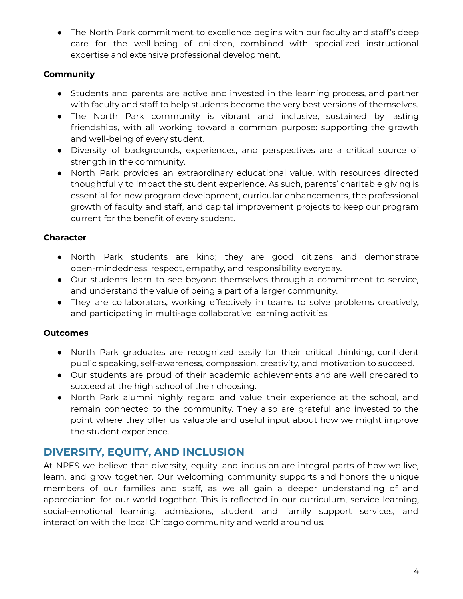● The North Park commitment to excellence begins with our faculty and staff's deep care for the well-being of children, combined with specialized instructional expertise and extensive professional development.

# **Community**

- Students and parents are active and invested in the learning process, and partner with faculty and staff to help students become the very best versions of themselves.
- The North Park community is vibrant and inclusive, sustained by lasting friendships, with all working toward a common purpose: supporting the growth and well-being of every student.
- Diversity of backgrounds, experiences, and perspectives are a critical source of strength in the community.
- North Park provides an extraordinary educational value, with resources directed thoughtfully to impact the student experience. As such, parents' charitable giving is essential for new program development, curricular enhancements, the professional growth of faculty and staff, and capital improvement projects to keep our program current for the benefit of every student.

# **Character**

- North Park students are kind; they are good citizens and demonstrate open-mindedness, respect, empathy, and responsibility everyday.
- Our students learn to see beyond themselves through a commitment to service, and understand the value of being a part of a larger community.
- They are collaborators, working effectively in teams to solve problems creatively, and participating in multi-age collaborative learning activities.

# **Outcomes**

- North Park graduates are recognized easily for their critical thinking, confident public speaking, self-awareness, compassion, creativity, and motivation to succeed.
- Our students are proud of their academic achievements and are well prepared to succeed at the high school of their choosing.
- North Park alumni highly regard and value their experience at the school, and remain connected to the community. They also are grateful and invested to the point where they offer us valuable and useful input about how we might improve the student experience.

# **DIVERSITY, EQUITY, AND INCLUSION**

At NPES we believe that diversity, equity, and inclusion are integral parts of how we live, learn, and grow together. Our welcoming community supports and honors the unique members of our families and staff, as we all gain a deeper understanding of and appreciation for our world together. This is reflected in our curriculum, service learning, social-emotional learning, admissions, student and family support services, and interaction with the local Chicago community and world around us.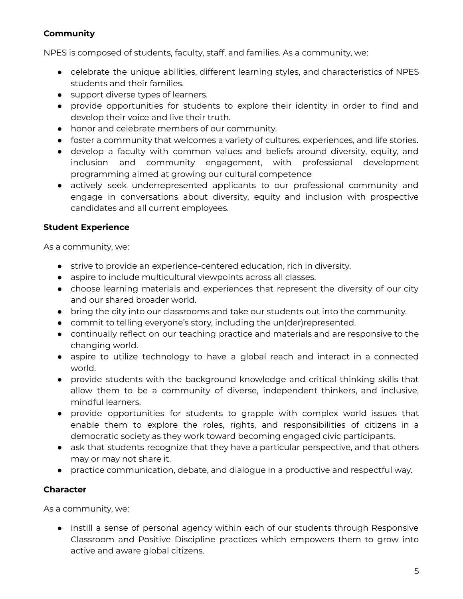# **Community**

NPES is composed of students, faculty, staff, and families. As a community, we:

- celebrate the unique abilities, different learning styles, and characteristics of NPES students and their families.
- support diverse types of learners.
- provide opportunities for students to explore their identity in order to find and develop their voice and live their truth.
- honor and celebrate members of our community.
- foster a community that welcomes a variety of cultures, experiences, and life stories.
- develop a faculty with common values and beliefs around diversity, equity, and inclusion and community engagement, with professional development programming aimed at growing our cultural competence
- actively seek underrepresented applicants to our professional community and engage in conversations about diversity, equity and inclusion with prospective candidates and all current employees.

# **Student Experience**

As a community, we:

- strive to provide an experience-centered education, rich in diversity.
- aspire to include multicultural viewpoints across all classes.
- choose learning materials and experiences that represent the diversity of our city and our shared broader world.
- bring the city into our classrooms and take our students out into the community.
- commit to telling everyone's story, including the un(der)represented.
- continually reflect on our teaching practice and materials and are responsive to the changing world.
- aspire to utilize technology to have a global reach and interact in a connected world.
- provide students with the background knowledge and critical thinking skills that allow them to be a community of diverse, independent thinkers, and inclusive, mindful learners.
- provide opportunities for students to grapple with complex world issues that enable them to explore the roles, rights, and responsibilities of citizens in a democratic society as they work toward becoming engaged civic participants.
- ask that students recognize that they have a particular perspective, and that others may or may not share it.
- practice communication, debate, and dialogue in a productive and respectful way.

# **Character**

As a community, we:

● instill a sense of personal agency within each of our students through Responsive Classroom and Positive Discipline practices which empowers them to grow into active and aware global citizens.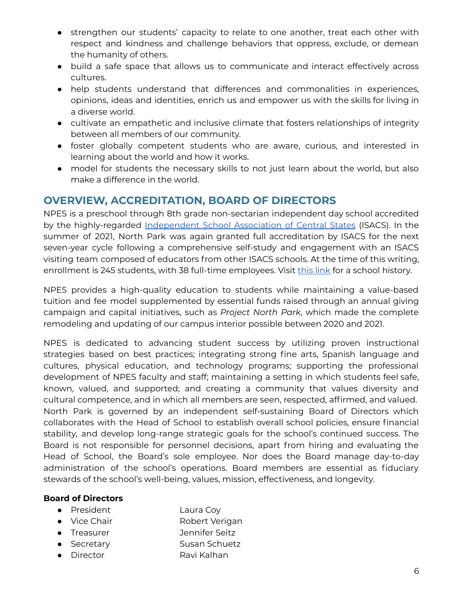- strengthen our students' capacity to relate to one another, treat each other with respect and kindness and challenge behaviors that oppress, exclude, or demean the humanity of others.
- build a safe space that allows us to communicate and interact effectively across cultures.
- help students understand that differences and commonalities in experiences, opinions, ideas and identities, enrich us and empower us with the skills for living in a diverse world.
- cultivate an empathetic and inclusive climate that fosters relationships of integrity between all members of our community.
- foster globally competent students who are aware, curious, and interested in learning about the world and how it works.
- model for students the necessary skills to not just learn about the world, but also make a difference in the world.

# **OVERVIEW, ACCREDITATION, BOARD OF DIRECTORS**

NPES is a preschool through 8th grade non-sectarian independent day school accredited by the highly-regarded [Independent](https://www.isacs.org/about-isacs) School Association of Central States (ISACS). In the summer of 2021, North Park was again granted full accreditation by ISACS for the next seven-year cycle following a comprehensive self-study and engagement with an ISACS visiting team composed of educators from other ISACS schools. At the time of this writing, enrollment is 245 students, with 38 full-time employees. Visit [this](https://drive.google.com/file/d/1xoUNeFwnRx3sxMfo9W1wa5yM0VhJyuSb/view?usp=sharing) link for a school history.

NPES provides a high-quality education to students while maintaining a value-based tuition and fee model supplemented by essential funds raised through an annual giving campaign and capital initiatives, such as *Project North Park*, which made the complete remodeling and updating of our campus interior possible between 2020 and 2021.

NPES is dedicated to advancing student success by utilizing proven instructional strategies based on best practices; integrating strong fine arts, Spanish language and cultures, physical education, and technology programs; supporting the professional development of NPES faculty and staff; maintaining a setting in which students feel safe, known, valued, and supported; and creating a community that values diversity and cultural competence, and in which all members are seen, respected, affirmed, and valued. North Park is governed by an independent self-sustaining Board of Directors which collaborates with the Head of School to establish overall school policies, ensure financial stability, and develop long-range strategic goals for the school's continued success. The Board is not responsible for personnel decisions, apart from hiring and evaluating the Head of School, the Board's sole employee. Nor does the Board manage day-to-day administration of the school's operations. Board members are essential as fiduciary stewards of the school's well-being, values, mission, effectiveness, and longevity.

# **Board of Directors**

- President Laura Coy
- Vice Chair Robert Verigan
- Treasurer Jennifer Seitz
- Secretary Susan Schuetz
- Director Ravi Kalhan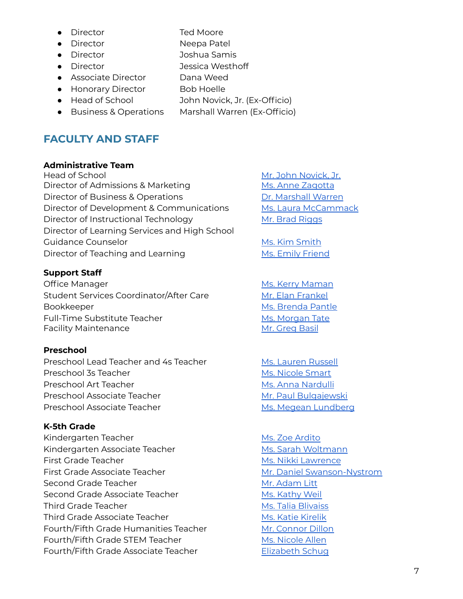- Director Ted Moore
- Director Neepa Patel
- Director Joshua Samis
- Director Jessica Westhoff
- Associate Director Dana Weed
- Honorary Director Bob Hoelle
- Head of School John Novick, Jr. (Ex-Officio)
- Business & Operations Marshall Warren (Ex-Officio)

# **FACULTY AND STAFF**

# **Administrative Team**

Head of School [Novick,](mailto:novick@npeschool.org) Jr. (1994) 1994 Mr. John Novick, Jr. Director of Admissions & Marketing Ms. Anne [Zagotta](mailto:zagotta@npeschool.org) Director of Business & Operations **Dr. [Marshall](http://warren@npeschool.org) Warren** Director of Development & Communications Ms. Laura [McCammack](http://mccammack@npeschool.org) Director of Instructional Technology Mr. Brad [Riggs](http://riggs@npeschool.org) Director of Learning Services and High School Guidance Counselor **Ms. Kim [Smith](mailto:smith@npeschool.org)** Director of Teaching and Learning Ms. Emily [Friend](mailto:friend@npeschool.org)

# **Support Staff**

Office Manager **Manual Accord Manual Michael Ms. Kerry [Maman](http://maman@npeschool.org)** Student Services Coordinator/After Care Mr. Elan [Frankel](mailto:frankel@npeschool.org) Bookkeeper Ms. [Brenda](http://accounting@npeschool.org) Pantle Full-Time Substitute Teacher Ms. [Morgan](http://tate@npeschool.org) Tate Facility Maintenance Mr. [Greg](http://basil@npeschool.org) Basil

# **Preschool**

Preschool Lead Teacher and 4s Teacher Ms. [Lauren](http://russell@npeschool.org) Russell Preschool 3s Teacher Ms. [Nicole](http://smart@npeschool.org) Smart Preschool Art Teacher Ms. Anna [Nardulli](http://nardulli@npeschool.org) Preschool Associate Teacher Mr. Paul [Bulgajewski](http://bulgajewski@npeschool.org) Preschool Associate Teacher Ms. Megean [Lundberg](http://lundberg@npeschool.org)

# **K-5th Grade**

Kindergarten Teacher Mus. Zoe [Ardito](http://ardito@npeschool.org) Kindergarten Associate Teacher Michael Ms. Sarah [Woltmann](http://woltmann@npeschool.org) First Grade Teacher Ms. Nikki [Lawrence](mailto:nlawrence@npeschool.org) First Grade Associate Teacher Music Channel [Swanson-Nystrom](mailto:swanson@npeschool.org) Second Grade Teacher Music Contract Mr. [Adam](mailto:litt@npeschool.org) Litt Second Grade Associate Teacher Ms. [Kathy](http://weil@npeschool.org) Weil Third Grade Teacher Ms. Talia [Blivaiss](http://blivaiss@npeschool.org) Third Grade Associate Teacher Ms. Katie [Kirelik](http://kirelik@npeschool.org) Fourth/Fifth Grade Humanities Teacher Mr. [Connor](http://dillon@npeschool.org) Dillon Fourth/Fifth Grade STEM Teacher Music Ms. [Nicole](mailto:allen@npeschool.org) Allen Fourth/Fifth Grade Associate Teacher [Elizabeth](mailto:schug@npeschool.org) Schug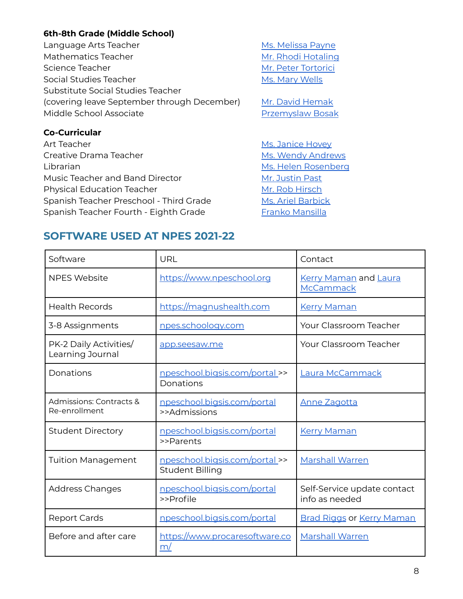# **6th-8th Grade (Middle School)**

Language Arts Teacher Music Controller Ms. [Melissa](http://payne@npeschool.org) Payne Mathematics Teacher Mathematics Teacher Muslim Mr. Rhodi [Hotaling](mailto:hotaling@npeschool.org) Science Teacher Mr. Peter [Tortorici](mailto:tortorici@npeschool.org) Social Studies Teacher Ms. Mary [Wells](http://wells@npeschool.org) Substitute Social Studies Teacher (covering leave September through December) Mr. David [Hemak](mailto:hemak@npeschool.org) Middle School Associate **[Przemyslaw](mailto:bosak@npeschool.org) Bosak** 

# **Co-Curricular**

Art Teacher Montana Art Teacher Music Entertainment and Ms. [Janice](http://hovey@npeschool.org) Hovey Creative Drama Teacher Ms. Wendy [Andrews](mailto:andrews@npeschool.org) Librarian Ms. Helen [Rosenberg](mailto:npeslibrary@npeschool.org) Music Teacher and Band Director Mr. [Justin](http://past@npeschool.org) Past Physical Education Teacher Microsoft Mr. Rob [Hirsch](mailto:hirsch@npeschool.org) Spanish Teacher Preschool - Third Grade Ms. Ariel [Barbick](mailto:barbick@npeschool.org) Spanish Teacher Fourth - Eighth Grade Franko [Mansilla](mailto:mansilla@npeschool.org)

# **SOFTWARE USED AT NPES 2021-22**

| Software                                   | URL                                                      | Contact                                       |
|--------------------------------------------|----------------------------------------------------------|-----------------------------------------------|
| <b>NPES Website</b>                        | https://www.npeschool.org                                | <b>Kerry Maman and Laura</b><br>McCammack     |
| <b>Health Records</b>                      | https://magnushealth.com                                 | <b>Kerry Maman</b>                            |
| 3-8 Assignments                            | npes.schoology.com                                       | <b>Your Classroom Teacher</b>                 |
| PK-2 Daily Activities/<br>Learning Journal | app.seesaw.me                                            | Your Classroom Teacher                        |
| Donations                                  | <u>npeschool.bigsis.com/portal</u> >><br>Donations       | Laura McCammack                               |
| Admissions: Contracts &<br>Re-enrollment   | npeschool.bigsis.com/portal<br>>>Admissions              | <b>Anne Zagotta</b>                           |
| <b>Student Directory</b>                   | npeschool.bigsis.com/portal<br>>>Parents                 | <b>Kerry Maman</b>                            |
| <b>Tuition Management</b>                  | npeschool.bigsis.com/portal >><br><b>Student Billing</b> | <b>Marshall Warren</b>                        |
| <b>Address Changes</b>                     | npeschool.bigsis.com/portal<br>>>Profile                 | Self-Service update contact<br>info as needed |
| <b>Report Cards</b>                        | npeschool.bigsis.com/portal                              | <b>Brad Riggs or Kerry Maman</b>              |
| Before and after care                      | https://www.procaresoftware.co<br>m/                     | <b>Marshall Warren</b>                        |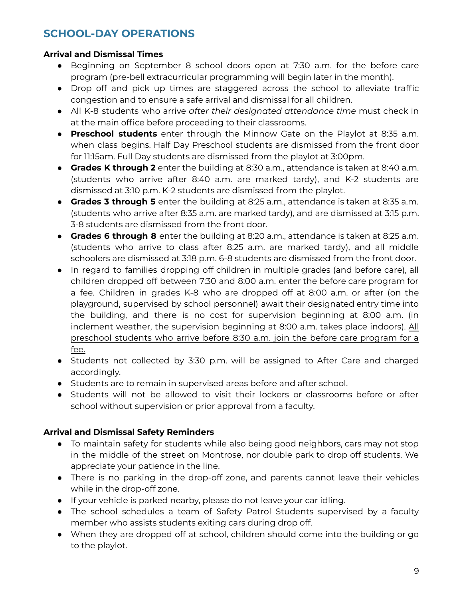# **SCHOOL-DAY OPERATIONS**

# **Arrival and Dismissal Times**

- Beginning on September 8 school doors open at 7:30 a.m. for the before care program (pre-bell extracurricular programming will begin later in the month).
- Drop off and pick up times are staggered across the school to alleviate traffic congestion and to ensure a safe arrival and dismissal for all children.
- All K-8 students who arrive *after their designated attendance time* must check in at the main office before proceeding to their classrooms.
- **Preschool students** enter through the Minnow Gate on the Playlot at 8:35 a.m. when class begins. Half Day Preschool students are dismissed from the front door for 11:15am. Full Day students are dismissed from the playlot at 3:00pm.
- **Grades K through 2** enter the building at 8:30 a.m., attendance is taken at 8:40 a.m. (students who arrive after 8:40 a.m. are marked tardy), and K-2 students are dismissed at 3:10 p.m. K-2 students are dismissed from the playlot.
- **Grades 3 through 5** enter the building at 8:25 a.m., attendance is taken at 8:35 a.m. (students who arrive after 8:35 a.m. are marked tardy), and are dismissed at 3:15 p.m. 3-8 students are dismissed from the front door.
- **Grades 6 through 8** enter the building at 8:20 a.m., attendance is taken at 8:25 a.m. (students who arrive to class after 8:25 a.m. are marked tardy), and all middle schoolers are dismissed at 3:18 p.m. 6-8 students are dismissed from the front door.
- In regard to families dropping off children in multiple grades (and before care), all children dropped off between 7:30 and 8:00 a.m. enter the before care program for a fee. Children in grades K-8 who are dropped off at 8:00 a.m. or after (on the playground, supervised by school personnel) await their designated entry time into the building, and there is no cost for supervision beginning at 8:00 a.m. (in inclement weather, the supervision beginning at 8:00 a.m. takes place indoors). All preschool students who arrive before 8:30 a.m. join the before care program for a fee.
- Students not collected by 3:30 p.m. will be assigned to After Care and charged accordingly.
- Students are to remain in supervised areas before and after school.
- Students will not be allowed to visit their lockers or classrooms before or after school without supervision or prior approval from a faculty.

# **Arrival and Dismissal Safety Reminders**

- To maintain safety for students while also being good neighbors, cars may not stop in the middle of the street on Montrose, nor double park to drop off students. We appreciate your patience in the line.
- There is no parking in the drop-off zone, and parents cannot leave their vehicles while in the drop-off zone.
- If your vehicle is parked nearby, please do not leave your car idling.
- The school schedules a team of Safety Patrol Students supervised by a faculty member who assists students exiting cars during drop off.
- When they are dropped off at school, children should come into the building or go to the playlot.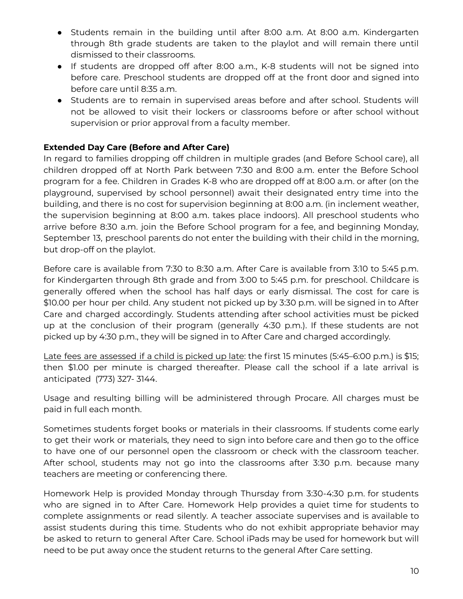- Students remain in the building until after 8:00 a.m. At 8:00 a.m. Kindergarten through 8th grade students are taken to the playlot and will remain there until dismissed to their classrooms.
- If students are dropped off after 8:00 a.m., K-8 students will not be signed into before care. Preschool students are dropped off at the front door and signed into before care until 8:35 a.m.
- Students are to remain in supervised areas before and after school. Students will not be allowed to visit their lockers or classrooms before or after school without supervision or prior approval from a faculty member.

# **Extended Day Care (Before and After Care)**

In regard to families dropping off children in multiple grades (and Before School care), all children dropped off at North Park between 7:30 and 8:00 a.m. enter the Before School program for a fee. Children in Grades K-8 who are dropped off at 8:00 a.m. or after (on the playground, supervised by school personnel) await their designated entry time into the building, and there is no cost for supervision beginning at 8:00 a.m. (in inclement weather, the supervision beginning at 8:00 a.m. takes place indoors). All preschool students who arrive before 8:30 a.m. join the Before School program for a fee, and beginning Monday, September 13, preschool parents do not enter the building with their child in the morning, but drop-off on the playlot.

Before care is available from 7:30 to 8:30 a.m. After Care is available from 3:10 to 5:45 p.m. for Kindergarten through 8th grade and from 3:00 to 5:45 p.m. for preschool. Childcare is generally offered when the school has half days or early dismissal. The cost for care is \$10.00 per hour per child. Any student not picked up by 3:30 p.m. will be signed in to After Care and charged accordingly. Students attending after school activities must be picked up at the conclusion of their program (generally 4:30 p.m.). If these students are not picked up by 4:30 p.m., they will be signed in to After Care and charged accordingly.

Late fees are assessed if a child is picked up late: the first 15 minutes (5:45–6:00 p.m.) is \$15; then \$1.00 per minute is charged thereafter. Please call the school if a late arrival is anticipated (773) 327- 3144.

Usage and resulting billing will be administered through Procare. All charges must be paid in full each month.

Sometimes students forget books or materials in their classrooms. If students come early to get their work or materials, they need to sign into before care and then go to the office to have one of our personnel open the classroom or check with the classroom teacher. After school, students may not go into the classrooms after 3:30 p.m. because many teachers are meeting or conferencing there.

Homework Help is provided Monday through Thursday from 3:30-4:30 p.m. for students who are signed in to After Care. Homework Help provides a quiet time for students to complete assignments or read silently. A teacher associate supervises and is available to assist students during this time. Students who do not exhibit appropriate behavior may be asked to return to general After Care. School iPads may be used for homework but will need to be put away once the student returns to the general After Care setting.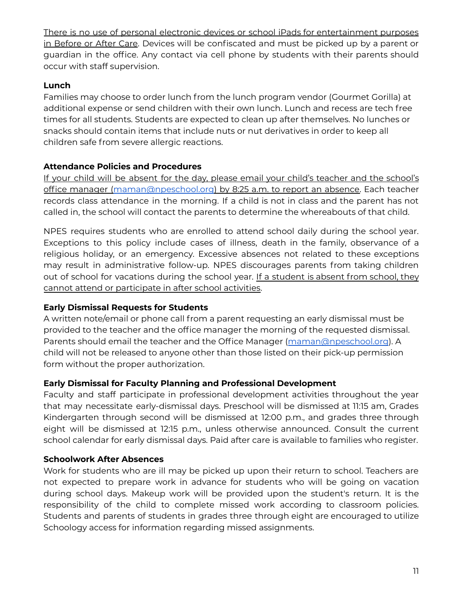There is no use of personal electronic devices or school iPads for entertainment purposes in Before or After Care. Devices will be confiscated and must be picked up by a parent or guardian in the office. Any contact via cell phone by students with their parents should occur with staff supervision.

# **Lunch**

Families may choose to order lunch from the lunch program vendor (Gourmet Gorilla) at additional expense or send children with their own lunch. Lunch and recess are tech free times for all students. Students are expected to clean up after themselves. No lunches or snacks should contain items that include nuts or nut derivatives in order to keep all children safe from severe allergic reactions.

# **Attendance Policies and Procedures**

If your child will be absent for the day, please email your child's teacher and the school's office manager [\(maman@npeschool.org](mailto:maman@npeschool.org)) by 8:25 a.m. to report an absence. Each teacher records class attendance in the morning. If a child is not in class and the parent has not called in, the school will contact the parents to determine the whereabouts of that child.

NPES requires students who are enrolled to attend school daily during the school year. Exceptions to this policy include cases of illness, death in the family, observance of a religious holiday, or an emergency. Excessive absences not related to these exceptions may result in administrative follow-up. NPES discourages parents from taking children out of school for vacations during the school year. If a student is absent from school, they cannot attend or participate in after school activities.

# **Early Dismissal Requests for Students**

A written note/email or phone call from a parent requesting an early dismissal must be provided to the teacher and the office manager the morning of the requested dismissal. Parents should email the teacher and the Office Manager ([maman@npeschool.org](mailto:maman@npeschool.org)). A child will not be released to anyone other than those listed on their pick-up permission form without the proper authorization.

# **Early Dismissal for Faculty Planning and Professional Development**

Faculty and staff participate in professional development activities throughout the year that may necessitate early-dismissal days. Preschool will be dismissed at 11:15 am, Grades Kindergarten through second will be dismissed at 12:00 p.m., and grades three through eight will be dismissed at 12:15 p.m., unless otherwise announced. Consult the current school calendar for early dismissal days. Paid after care is available to families who register.

# **Schoolwork After Absences**

Work for students who are ill may be picked up upon their return to school. Teachers are not expected to prepare work in advance for students who will be going on vacation during school days. Makeup work will be provided upon the student's return. It is the responsibility of the child to complete missed work according to classroom policies. Students and parents of students in grades three through eight are encouraged to utilize Schoology access for information regarding missed assignments.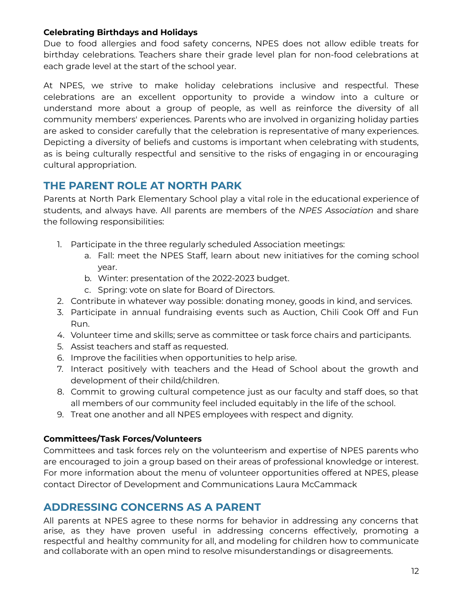# **Celebrating Birthdays and Holidays**

Due to food allergies and food safety concerns, NPES does not allow edible treats for birthday celebrations. Teachers share their grade level plan for non-food celebrations at each grade level at the start of the school year.

At NPES, we strive to make holiday celebrations inclusive and respectful. These celebrations are an excellent opportunity to provide a window into a culture or understand more about a group of people, as well as reinforce the diversity of all community members' experiences. Parents who are involved in organizing holiday parties are asked to consider carefully that the celebration is representative of many experiences. Depicting a diversity of beliefs and customs is important when celebrating with students, as is being culturally respectful and sensitive to the risks of engaging in or encouraging cultural appropriation.

# **THE PARENT ROLE AT NORTH PARK**

Parents at North Park Elementary School play a vital role in the educational experience of students, and always have. All parents are members of the *NPES Association* and share the following responsibilities:

- 1. Participate in the three regularly scheduled Association meetings:
	- a. Fall: meet the NPES Staff, learn about new initiatives for the coming school year.
	- b. Winter: presentation of the 2022-2023 budget.
	- c. Spring: vote on slate for Board of Directors.
- 2. Contribute in whatever way possible: donating money, goods in kind, and services.
- 3. Participate in annual fundraising events such as Auction, Chili Cook Off and Fun Run.
- 4. Volunteer time and skills; serve as committee or task force chairs and participants.
- 5. Assist teachers and staff as requested.
- 6. Improve the facilities when opportunities to help arise.
- 7. Interact positively with teachers and the Head of School about the growth and development of their child/children.
- 8. Commit to growing cultural competence just as our faculty and staff does, so that all members of our community feel included equitably in the life of the school.
- 9. Treat one another and all NPES employees with respect and dignity.

# **Committees/Task Forces/Volunteers**

Committees and task forces rely on the volunteerism and expertise of NPES parents who are encouraged to join a group based on their areas of professional knowledge or interest. For more information about the menu of volunteer opportunities offered at NPES, please contact Director of Development and Communications Laura McCammack

# **ADDRESSING CONCERNS AS A PARENT**

All parents at NPES agree to these norms for behavior in addressing any concerns that arise, as they have proven useful in addressing concerns effectively, promoting a respectful and healthy community for all, and modeling for children how to communicate and collaborate with an open mind to resolve misunderstandings or disagreements.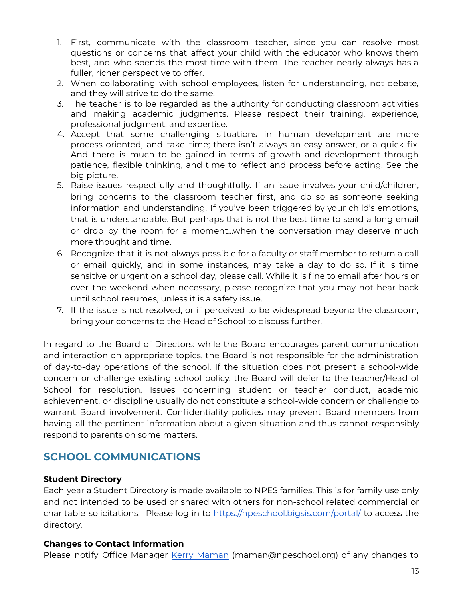- 1. First, communicate with the classroom teacher, since you can resolve most questions or concerns that affect your child with the educator who knows them best, and who spends the most time with them. The teacher nearly always has a fuller, richer perspective to offer.
- 2. When collaborating with school employees, listen for understanding, not debate, and they will strive to do the same.
- 3. The teacher is to be regarded as the authority for conducting classroom activities and making academic judgments. Please respect their training, experience, professional judgment, and expertise.
- 4. Accept that some challenging situations in human development are more process-oriented, and take time; there isn't always an easy answer, or a quick fix. And there is much to be gained in terms of growth and development through patience, flexible thinking, and time to reflect and process before acting. See the big picture.
- 5. Raise issues respectfully and thoughtfully. If an issue involves your child/children, bring concerns to the classroom teacher first, and do so as someone seeking information and understanding. If you've been triggered by your child's emotions, that is understandable. But perhaps that is not the best time to send a long email or drop by the room for a moment...when the conversation may deserve much more thought and time.
- 6. Recognize that it is not always possible for a faculty or staff member to return a call or email quickly, and in some instances, may take a day to do so. If it is time sensitive or urgent on a school day, please call. While it is fine to email after hours or over the weekend when necessary, please recognize that you may not hear back until school resumes, unless it is a safety issue.
- 7. If the issue is not resolved, or if perceived to be widespread beyond the classroom, bring your concerns to the Head of School to discuss further.

In regard to the Board of Directors: while the Board encourages parent communication and interaction on appropriate topics, the Board is not responsible for the administration of day-to-day operations of the school. If the situation does not present a school-wide concern or challenge existing school policy, the Board will defer to the teacher/Head of School for resolution. Issues concerning student or teacher conduct, academic achievement, or discipline usually do not constitute a school-wide concern or challenge to warrant Board involvement. Confidentiality policies may prevent Board members from having all the pertinent information about a given situation and thus cannot responsibly respond to parents on some matters.

# **SCHOOL COMMUNICATIONS**

# **Student Directory**

Each year a Student Directory is made available to NPES families. This is for family use only and not intended to be used or shared with others for non-school related commercial or charitable solicitations. Please log in to <https://npeschool.bigsis.com/portal/> to access the directory.

# **Changes to Contact Information**

Please notify Office Manager Kerry [Maman](mailto:maman@npeschool.org) (maman@npeschool.org) of any changes to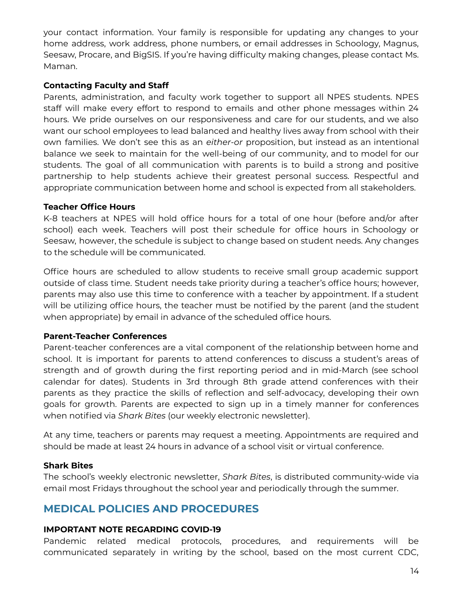your contact information. Your family is responsible for updating any changes to your home address, work address, phone numbers, or email addresses in Schoology, Magnus, Seesaw, Procare, and BigSIS. If you're having difficulty making changes, please contact Ms. Maman.

# **Contacting Faculty and Staff**

Parents, administration, and faculty work together to support all NPES students. NPES staff will make every effort to respond to emails and other phone messages within 24 hours. We pride ourselves on our responsiveness and care for our students, and we also want our school employees to lead balanced and healthy lives away from school with their own families. We don't see this as an *either-or* proposition, but instead as an intentional balance we seek to maintain for the well-being of our community, and to model for our students. The goal of all communication with parents is to build a strong and positive partnership to help students achieve their greatest personal success. Respectful and appropriate communication between home and school is expected from all stakeholders.

# **Teacher Office Hours**

K-8 teachers at NPES will hold office hours for a total of one hour (before and/or after school) each week. Teachers will post their schedule for office hours in Schoology or Seesaw, however, the schedule is subject to change based on student needs. Any changes to the schedule will be communicated.

Office hours are scheduled to allow students to receive small group academic support outside of class time. Student needs take priority during a teacher's office hours; however, parents may also use this time to conference with a teacher by appointment. If a student will be utilizing office hours, the teacher must be notified by the parent (and the student when appropriate) by email in advance of the scheduled office hours.

# **Parent-Teacher Conferences**

Parent-teacher conferences are a vital component of the relationship between home and school. It is important for parents to attend conferences to discuss a student's areas of strength and of growth during the first reporting period and in mid-March (see school calendar for dates). Students in 3rd through 8th grade attend conferences with their parents as they practice the skills of reflection and self-advocacy, developing their own goals for growth. Parents are expected to sign up in a timely manner for conferences when notified via *Shark Bites* (our weekly electronic newsletter).

At any time, teachers or parents may request a meeting. Appointments are required and should be made at least 24 hours in advance of a school visit or virtual conference.

# **Shark Bites**

The school's weekly electronic newsletter, *Shark Bites*, is distributed community-wide via email most Fridays throughout the school year and periodically through the summer.

# **MEDICAL POLICIES AND PROCEDURES**

# **IMPORTANT NOTE REGARDING COVID-19**

Pandemic related medical protocols, procedures, and requirements will be communicated separately in writing by the school, based on the most current CDC,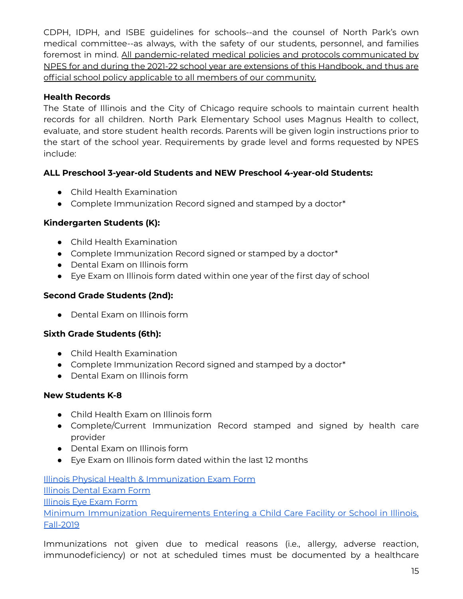CDPH, IDPH, and ISBE guidelines for schools--and the counsel of North Park's own medical committee--as always, with the safety of our students, personnel, and families foremost in mind. All pandemic-related medical policies and protocols communicated by NPES for and during the 2021-22 school year are extensions of this Handbook, and thus are official school policy applicable to all members of our community.

# **Health Records**

The State of Illinois and the City of Chicago require schools to maintain current health records for all children. North Park Elementary School uses Magnus Health to collect, evaluate, and store student health records. Parents will be given login instructions prior to the start of the school year. Requirements by grade level and forms requested by NPES include:

# **ALL Preschool 3-year-old Students and NEW Preschool 4-year-old Students:**

- Child Health Examination
- Complete Immunization Record signed and stamped by a doctor\*

# **Kindergarten Students (K):**

- Child Health Examination
- Complete Immunization Record signed or stamped by a doctor\*
- Dental Exam on Illinois form
- Eye Exam on Illinois form dated within one year of the first day of school

# **Second Grade Students (2nd):**

● Dental Exam on Illinois form

# **Sixth Grade Students (6th):**

- Child Health Examination
- Complete Immunization Record signed and stamped by a doctor\*
- Dental Exam on Illinois form

# **New Students K-8**

- Child Health Exam on Illinois form
- Complete/Current Immunization Record stamped and signed by health care provider
- Dental Exam on Illinois form
- Eye Exam on Illinois form dated within the last 12 months

Illinois Physical Health & [Immunization](http://dph.illinois.gov/sites/default/files/forms/certificate-ofchild-health-examination-03032017.pdf) Exam Form Illinois [Dental](http://www.idph.state.il.us/HealthWellness/oralhlth/DentalExamProof10.pdf) Exam Form [Illinois](http://www.idph.state.il.us/HealthWellness/EyeExamReport.pdf) Eye Exam Form Minimum Immunization [Requirements](http://dph.illinois.gov/sites/default/files/publications/Minimum%20Immunization%20Requirements.pdf) Entering a Child Care Facility or School in Illinois, [Fall-2019](http://dph.illinois.gov/sites/default/files/publications/Minimum%20Immunization%20Requirements.pdf)

Immunizations not given due to medical reasons (i.e., allergy, adverse reaction, immunodeficiency) or not at scheduled times must be documented by a healthcare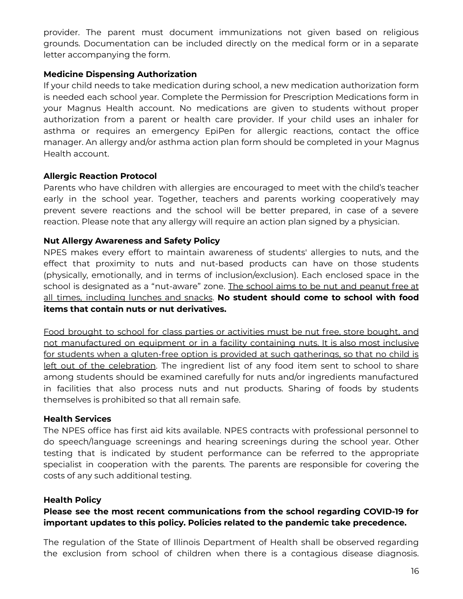provider. The parent must document immunizations not given based on religious grounds. Documentation can be included directly on the medical form or in a separate letter accompanying the form.

#### **Medicine Dispensing Authorization**

If your child needs to take medication during school, a new medication authorization form is needed each school year. Complete the Permission for Prescription Medications form in your Magnus Health account. No medications are given to students without proper authorization from a parent or health care provider. If your child uses an inhaler for asthma or requires an emergency EpiPen for allergic reactions, contact the office manager. An allergy and/or asthma action plan form should be completed in your Magnus Health account.

#### **Allergic Reaction Protocol**

Parents who have children with allergies are encouraged to meet with the child's teacher early in the school year. Together, teachers and parents working cooperatively may prevent severe reactions and the school will be better prepared, in case of a severe reaction. Please note that any allergy will require an action plan signed by a physician.

#### **Nut Allergy Awareness and Safety Policy**

NPES makes every effort to maintain awareness of students' allergies to nuts, and the effect that proximity to nuts and nut-based products can have on those students (physically, emotionally, and in terms of inclusion/exclusion). Each enclosed space in the school is designated as a "nut-aware" zone. The school aims to be nut and peanut free at all times, including lunches and snacks. **No student should come to school with food items that contain nuts or nut derivatives.**

Food brought to school for class parties or activities must be nut free, store bought, and not manufactured on equipment or in a facility containing nuts. It is also most inclusive for students when a gluten-free option is provided at such gatherings, so that no child is left out of the celebration. The ingredient list of any food item sent to school to share among students should be examined carefully for nuts and/or ingredients manufactured in facilities that also process nuts and nut products. Sharing of foods by students themselves is prohibited so that all remain safe.

#### **Health Services**

The NPES office has first aid kits available. NPES contracts with professional personnel to do speech/language screenings and hearing screenings during the school year. Other testing that is indicated by student performance can be referred to the appropriate specialist in cooperation with the parents. The parents are responsible for covering the costs of any such additional testing.

#### **Health Policy**

# **Please see the most recent communications from the school regarding COVID-19 for important updates to this policy. Policies related to the pandemic take precedence.**

The regulation of the State of Illinois Department of Health shall be observed regarding the exclusion from school of children when there is a contagious disease diagnosis.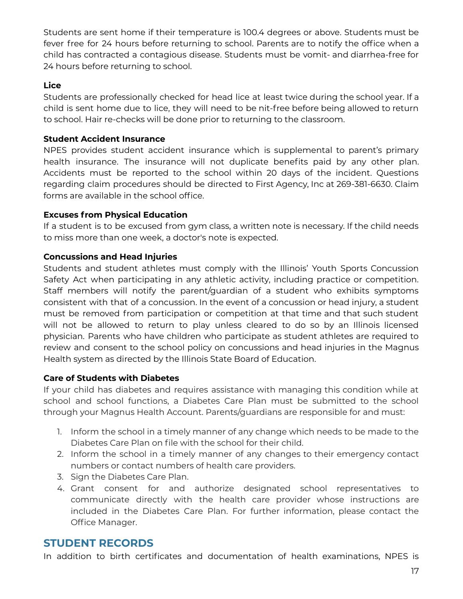Students are sent home if their temperature is 100.4 degrees or above. Students must be fever free for 24 hours before returning to school. Parents are to notify the office when a child has contracted a contagious disease. Students must be vomit- and diarrhea-free for 24 hours before returning to school.

# **Lice**

Students are professionally checked for head lice at least twice during the school year. If a child is sent home due to lice, they will need to be nit-free before being allowed to return to school. Hair re-checks will be done prior to returning to the classroom.

# **Student Accident Insurance**

NPES provides student accident insurance which is supplemental to parent's primary health insurance. The insurance will not duplicate benefits paid by any other plan. Accidents must be reported to the school within 20 days of the incident. Questions regarding claim procedures should be directed to First Agency, Inc at 269-381-6630. Claim forms are available in the school office.

# **Excuses from Physical Education**

If a student is to be excused from gym class, a written note is necessary. If the child needs to miss more than one week, a doctor's note is expected.

# **Concussions and Head Injuries**

Students and student athletes must comply with the Illinois' Youth Sports Concussion Safety Act when participating in any athletic activity, including practice or competition. Staff members will notify the parent/guardian of a student who exhibits symptoms consistent with that of a concussion. In the event of a concussion or head injury, a student must be removed from participation or competition at that time and that such student will not be allowed to return to play unless cleared to do so by an Illinois licensed physician. Parents who have children who participate as student athletes are required to review and consent to the school policy on concussions and head injuries in the Magnus Health system as directed by the Illinois State Board of Education.

# **Care of Students with Diabetes**

If your child has diabetes and requires assistance with managing this condition while at school and school functions, a Diabetes Care Plan must be submitted to the school through your Magnus Health Account. Parents/guardians are responsible for and must:

- 1. Inform the school in a timely manner of any change which needs to be made to the Diabetes Care Plan on file with the school for their child.
- 2. Inform the school in a timely manner of any changes to their emergency contact numbers or contact numbers of health care providers.
- 3. Sign the Diabetes Care Plan.
- 4. Grant consent for and authorize designated school representatives to communicate directly with the health care provider whose instructions are included in the Diabetes Care Plan. For further information, please contact the Office Manager.

# **STUDENT RECORDS**

In addition to birth certificates and documentation of health examinations, NPES is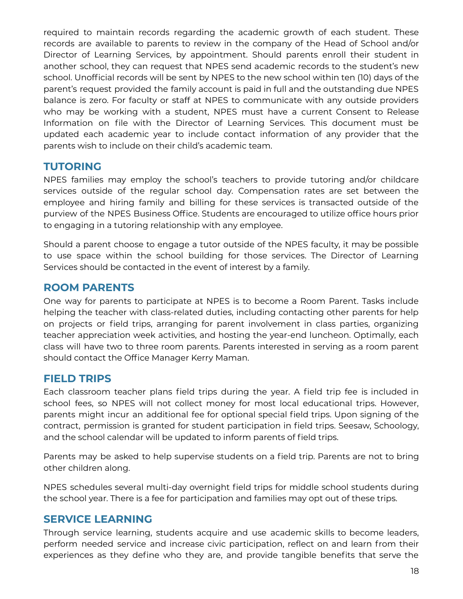required to maintain records regarding the academic growth of each student. These records are available to parents to review in the company of the Head of School and/or Director of Learning Services, by appointment. Should parents enroll their student in another school, they can request that NPES send academic records to the student's new school. Unofficial records will be sent by NPES to the new school within ten (10) days of the parent's request provided the family account is paid in full and the outstanding due NPES balance is zero. For faculty or staff at NPES to communicate with any outside providers who may be working with a student, NPES must have a current Consent to Release Information on file with the Director of Learning Services. This document must be updated each academic year to include contact information of any provider that the parents wish to include on their child's academic team.

# **TUTORING**

NPES families may employ the school's teachers to provide tutoring and/or childcare services outside of the regular school day. Compensation rates are set between the employee and hiring family and billing for these services is transacted outside of the purview of the NPES Business Office. Students are encouraged to utilize office hours prior to engaging in a tutoring relationship with any employee.

Should a parent choose to engage a tutor outside of the NPES faculty, it may be possible to use space within the school building for those services. The Director of Learning Services should be contacted in the event of interest by a family.

# **ROOM PARENTS**

One way for parents to participate at NPES is to become a Room Parent. Tasks include helping the teacher with class-related duties, including contacting other parents for help on projects or field trips, arranging for parent involvement in class parties, organizing teacher appreciation week activities, and hosting the year-end luncheon. Optimally, each class will have two to three room parents. Parents interested in serving as a room parent should contact the Office Manager Kerry Maman.

# **FIELD TRIPS**

Each classroom teacher plans field trips during the year. A field trip fee is included in school fees, so NPES will not collect money for most local educational trips. However, parents might incur an additional fee for optional special field trips. Upon signing of the contract, permission is granted for student participation in field trips. Seesaw, Schoology, and the school calendar will be updated to inform parents of field trips.

Parents may be asked to help supervise students on a field trip. Parents are not to bring other children along.

NPES schedules several multi-day overnight field trips for middle school students during the school year. There is a fee for participation and families may opt out of these trips.

# **SERVICE LEARNING**

Through service learning, students acquire and use academic skills to become leaders, perform needed service and increase civic participation, reflect on and learn from their experiences as they define who they are, and provide tangible benefits that serve the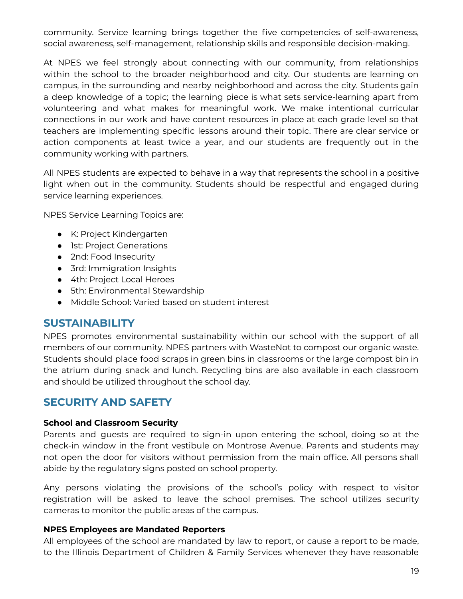community. Service learning brings together the five competencies of self-awareness, social awareness, self-management, relationship skills and responsible decision-making.

At NPES we feel strongly about connecting with our community, from relationships within the school to the broader neighborhood and city. Our students are learning on campus, in the surrounding and nearby neighborhood and across the city. Students gain a deep knowledge of a topic; the learning piece is what sets service-learning apart from volunteering and what makes for meaningful work. We make intentional curricular connections in our work and have content resources in place at each grade level so that teachers are implementing specific lessons around their topic. There are clear service or action components at least twice a year, and our students are frequently out in the community working with partners.

All NPES students are expected to behave in a way that represents the school in a positive light when out in the community. Students should be respectful and engaged during service learning experiences.

NPES Service Learning Topics are:

- K: Project Kindergarten
- 1st: Project Generations
- 2nd: Food Insecurity
- 3rd: Immigration Insights
- 4th: Project Local Heroes
- 5th: Environmental Stewardship
- Middle School: Varied based on student interest

# **SUSTAINABILITY**

NPES promotes environmental sustainability within our school with the support of all members of our community. NPES partners with WasteNot to compost our organic waste. Students should place food scraps in green bins in classrooms or the large compost bin in the atrium during snack and lunch. Recycling bins are also available in each classroom and should be utilized throughout the school day.

# **SECURITY AND SAFETY**

#### **School and Classroom Security**

Parents and guests are required to sign-in upon entering the school, doing so at the check-in window in the front vestibule on Montrose Avenue. Parents and students may not open the door for visitors without permission from the main office. All persons shall abide by the regulatory signs posted on school property.

Any persons violating the provisions of the school's policy with respect to visitor registration will be asked to leave the school premises. The school utilizes security cameras to monitor the public areas of the campus.

#### **NPES Employees are Mandated Reporters**

All employees of the school are mandated by law to report, or cause a report to be made, to the Illinois Department of Children & Family Services whenever they have reasonable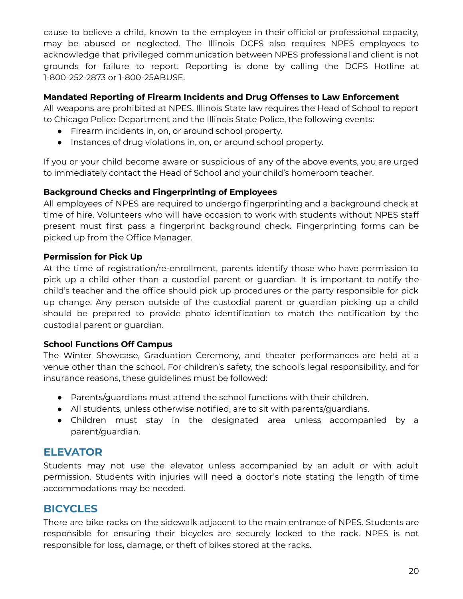cause to believe a child, known to the employee in their official or professional capacity, may be abused or neglected. The Illinois DCFS also requires NPES employees to acknowledge that privileged communication between NPES professional and client is not grounds for failure to report. Reporting is done by calling the DCFS Hotline at 1-800-252-2873 or 1-800-25ABUSE.

# **Mandated Reporting of Firearm Incidents and Drug Offenses to Law Enforcement**

All weapons are prohibited at NPES. Illinois State law requires the Head of School to report to Chicago Police Department and the Illinois State Police, the following events:

- Firearm incidents in, on, or around school property.
- Instances of drug violations in, on, or around school property.

If you or your child become aware or suspicious of any of the above events, you are urged to immediately contact the Head of School and your child's homeroom teacher.

# **Background Checks and Fingerprinting of Employees**

All employees of NPES are required to undergo fingerprinting and a background check at time of hire. Volunteers who will have occasion to work with students without NPES staff present must first pass a fingerprint background check. Fingerprinting forms can be picked up from the Office Manager.

# **Permission for Pick Up**

At the time of registration/re-enrollment, parents identify those who have permission to pick up a child other than a custodial parent or guardian. It is important to notify the child's teacher and the office should pick up procedures or the party responsible for pick up change. Any person outside of the custodial parent or guardian picking up a child should be prepared to provide photo identification to match the notification by the custodial parent or guardian.

# **School Functions Off Campus**

The Winter Showcase, Graduation Ceremony, and theater performances are held at a venue other than the school. For children's safety, the school's legal responsibility, and for insurance reasons, these guidelines must be followed:

- Parents/guardians must attend the school functions with their children.
- All students, unless otherwise notified, are to sit with parents/guardians.
- Children must stay in the designated area unless accompanied by a parent/guardian.

# **ELEVATOR**

Students may not use the elevator unless accompanied by an adult or with adult permission. Students with injuries will need a doctor's note stating the length of time accommodations may be needed.

# **BICYCLES**

There are bike racks on the sidewalk adjacent to the main entrance of NPES. Students are responsible for ensuring their bicycles are securely locked to the rack. NPES is not responsible for loss, damage, or theft of bikes stored at the racks.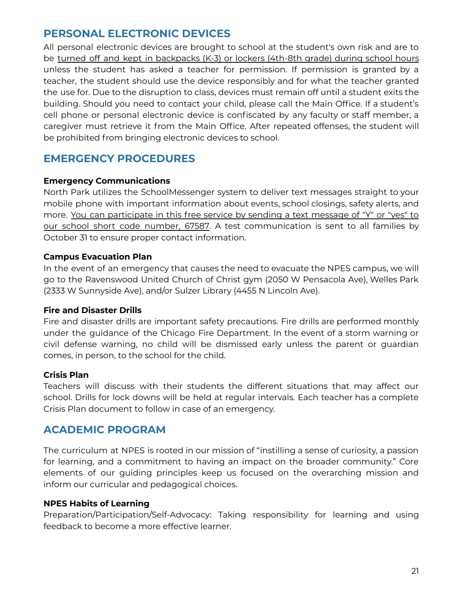# **PERSONAL ELECTRONIC DEVICES**

All personal electronic devices are brought to school at the student's own risk and are to be turned off and kept in backpacks (K-3) or lockers (4th-8th grade) during school hours unless the student has asked a teacher for permission. If permission is granted by a teacher, the student should use the device responsibly and for what the teacher granted the use for. Due to the disruption to class, devices must remain off until a student exits the building. Should you need to contact your child, please call the Main Office. If a student's cell phone or personal electronic device is confiscated by any faculty or staff member, a caregiver must retrieve it from the Main Office. After repeated offenses, the student will be prohibited from bringing electronic devices to school.

# **EMERGENCY PROCEDURES**

# **Emergency Communications**

North Park utilizes the SchoolMessenger system to deliver text messages straight to your mobile phone with important information about events, school closings, safety alerts, and more. You can participate in this free service by sending a text message of "Y" or "yes" to our school short code number, 67587. A test communication is sent to all families by October 31 to ensure proper contact information.

#### **Campus Evacuation Plan**

In the event of an emergency that causes the need to evacuate the NPES campus, we will go to the Ravenswood United Church of Christ gym (2050 W Pensacola Ave), Welles Park (2333 W Sunnyside Ave), and/or Sulzer Library (4455 N Lincoln Ave).

# **Fire and Disaster Drills**

Fire and disaster drills are important safety precautions. Fire drills are performed monthly under the guidance of the Chicago Fire Department. In the event of a storm warning or civil defense warning, no child will be dismissed early unless the parent or guardian comes, in person, to the school for the child.

# **Crisis Plan**

Teachers will discuss with their students the different situations that may affect our school. Drills for lock downs will be held at regular intervals. Each teacher has a complete Crisis Plan document to follow in case of an emergency.

# **ACADEMIC PROGRAM**

The curriculum at NPES is rooted in our mission of "instilling a sense of curiosity, a passion for learning, and a commitment to having an impact on the broader community." Core elements of our guiding principles keep us focused on the overarching mission and inform our curricular and pedagogical choices.

# **NPES Habits of Learning**

Preparation/Participation/Self-Advocacy: Taking responsibility for learning and using feedback to become a more effective learner.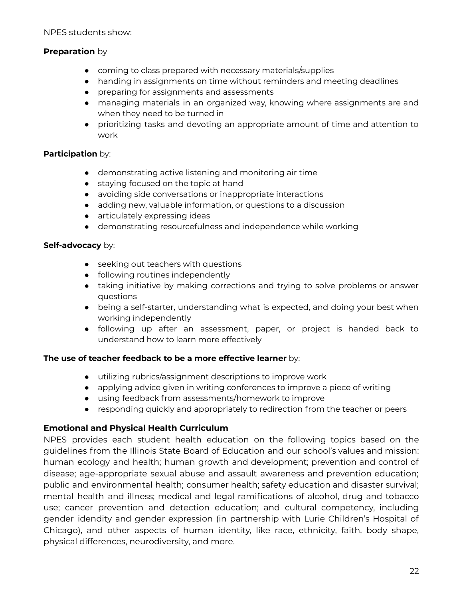NPES students show:

# **Preparation** by

- coming to class prepared with necessary materials/supplies
- handing in assignments on time without reminders and meeting deadlines
- preparing for assignments and assessments
- managing materials in an organized way, knowing where assignments are and when they need to be turned in
- prioritizing tasks and devoting an appropriate amount of time and attention to work

#### **Participation** by:

- demonstrating active listening and monitoring air time
- staying focused on the topic at hand
- avoiding side conversations or inappropriate interactions
- adding new, valuable information, or questions to a discussion
- articulately expressing ideas
- demonstrating resourcefulness and independence while working

#### **Self-advocacy** by:

- seeking out teachers with questions
- following routines independently
- taking initiative by making corrections and trying to solve problems or answer questions
- being a self-starter, understanding what is expected, and doing your best when working independently
- following up after an assessment, paper, or project is handed back to understand how to learn more effectively

#### **The use of teacher feedback to be a more effective learner** by:

- utilizing rubrics/assignment descriptions to improve work
- applying advice given in writing conferences to improve a piece of writing
- using feedback from assessments/homework to improve
- responding quickly and appropriately to redirection from the teacher or peers

# **Emotional and Physical Health Curriculum**

NPES provides each student health education on the following topics based on the guidelines from the Illinois State Board of Education and our school's values and mission: human ecology and health; human growth and development; prevention and control of disease; age-appropriate sexual abuse and assault awareness and prevention education; public and environmental health; consumer health; safety education and disaster survival; mental health and illness; medical and legal ramifications of alcohol, drug and tobacco use; cancer prevention and detection education; and cultural competency, including gender idendity and gender expression (in partnership with Lurie Children's Hospital of Chicago), and other aspects of human identity, like race, ethnicity, faith, body shape, physical differences, neurodiversity, and more.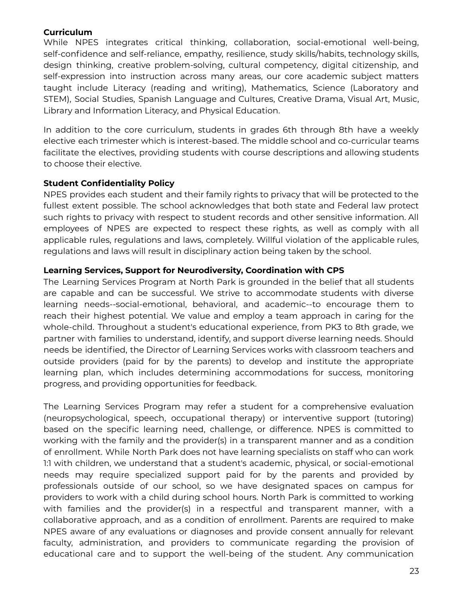# **Curriculum**

While NPES integrates critical thinking, collaboration, social-emotional well-being, self-confidence and self-reliance, empathy, resilience, study skills/habits, technology skills, design thinking, creative problem-solving, cultural competency, digital citizenship, and self-expression into instruction across many areas, our core academic subject matters taught include Literacy (reading and writing), Mathematics, Science (Laboratory and STEM), Social Studies, Spanish Language and Cultures, Creative Drama, Visual Art, Music, Library and Information Literacy, and Physical Education.

In addition to the core curriculum, students in grades 6th through 8th have a weekly elective each trimester which is interest-based. The middle school and co-curricular teams facilitate the electives, providing students with course descriptions and allowing students to choose their elective.

# **Student Confidentiality Policy**

NPES provides each student and their family rights to privacy that will be protected to the fullest extent possible. The school acknowledges that both state and Federal law protect such rights to privacy with respect to student records and other sensitive information. All employees of NPES are expected to respect these rights, as well as comply with all applicable rules, regulations and laws, completely. Willful violation of the applicable rules, regulations and laws will result in disciplinary action being taken by the school.

# **Learning Services, Support for Neurodiversity, Coordination with CPS**

The Learning Services Program at North Park is grounded in the belief that all students are capable and can be successful. We strive to accommodate students with diverse learning needs--social-emotional, behavioral, and academic--to encourage them to reach their highest potential. We value and employ a team approach in caring for the whole-child. Throughout a student's educational experience, from PK3 to 8th grade, we partner with families to understand, identify, and support diverse learning needs. Should needs be identified, the Director of Learning Services works with classroom teachers and outside providers (paid for by the parents) to develop and institute the appropriate learning plan, which includes determining accommodations for success, monitoring progress, and providing opportunities for feedback.

The Learning Services Program may refer a student for a comprehensive evaluation (neuropsychological, speech, occupational therapy) or interventive support (tutoring) based on the specific learning need, challenge, or difference. NPES is committed to working with the family and the provider(s) in a transparent manner and as a condition of enrollment. While North Park does not have learning specialists on staff who can work 1:1 with children, we understand that a student's academic, physical, or social-emotional needs may require specialized support paid for by the parents and provided by professionals outside of our school, so we have designated spaces on campus for providers to work with a child during school hours. North Park is committed to working with families and the provider(s) in a respectful and transparent manner, with a collaborative approach, and as a condition of enrollment. Parents are required to make NPES aware of any evaluations or diagnoses and provide consent annually for relevant faculty, administration, and providers to communicate regarding the provision of educational care and to support the well-being of the student. Any communication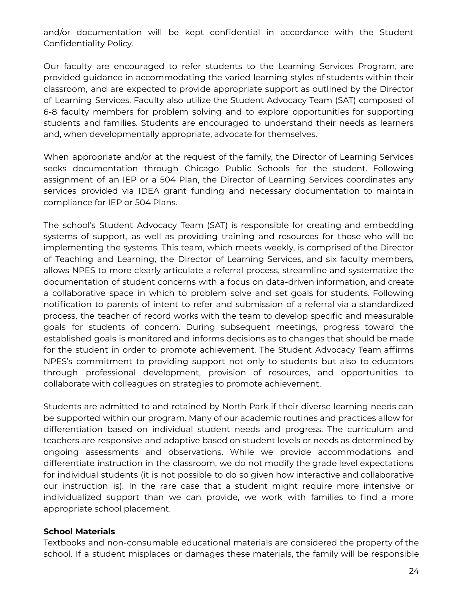and/or documentation will be kept confidential in accordance with the Student Confidentiality Policy.

Our faculty are encouraged to refer students to the Learning Services Program, are provided guidance in accommodating the varied learning styles of students within their classroom, and are expected to provide appropriate support as outlined by the Director of Learning Services. Faculty also utilize the Student Advocacy Team (SAT) composed of 6-8 faculty members for problem solving and to explore opportunities for supporting students and families. Students are encouraged to understand their needs as learners and, when developmentally appropriate, advocate for themselves.

When appropriate and/or at the request of the family, the Director of Learning Services seeks documentation through Chicago Public Schools for the student. Following assignment of an IEP or a 504 Plan, the Director of Learning Services coordinates any services provided via IDEA grant funding and necessary documentation to maintain compliance for IEP or 504 Plans.

The school's Student Advocacy Team (SAT) is responsible for creating and embedding systems of support, as well as providing training and resources for those who will be implementing the systems. This team, which meets weekly, is comprised of the Director of Teaching and Learning, the Director of Learning Services, and six faculty members, allows NPES to more clearly articulate a referral process, streamline and systematize the documentation of student concerns with a focus on data-driven information, and create a collaborative space in which to problem solve and set goals for students. Following notification to parents of intent to refer and submission of a referral via a standardized process, the teacher of record works with the team to develop specific and measurable goals for students of concern. During subsequent meetings, progress toward the established goals is monitored and informs decisions as to changes that should be made for the student in order to promote achievement. The Student Advocacy Team affirms NPES's commitment to providing support not only to students but also to educators through professional development, provision of resources, and opportunities to collaborate with colleagues on strategies to promote achievement.

Students are admitted to and retained by North Park if their diverse learning needs can be supported within our program. Many of our academic routines and practices allow for differentiation based on individual student needs and progress. The curriculum and teachers are responsive and adaptive based on student levels or needs as determined by ongoing assessments and observations. While we provide accommodations and differentiate instruction in the classroom, we do not modify the grade level expectations for individual students (it is not possible to do so given how interactive and collaborative our instruction is). In the rare case that a student might require more intensive or individualized support than we can provide, we work with families to find a more appropriate school placement.

#### **School Materials**

Textbooks and non-consumable educational materials are considered the property of the school. If a student misplaces or damages these materials, the family will be responsible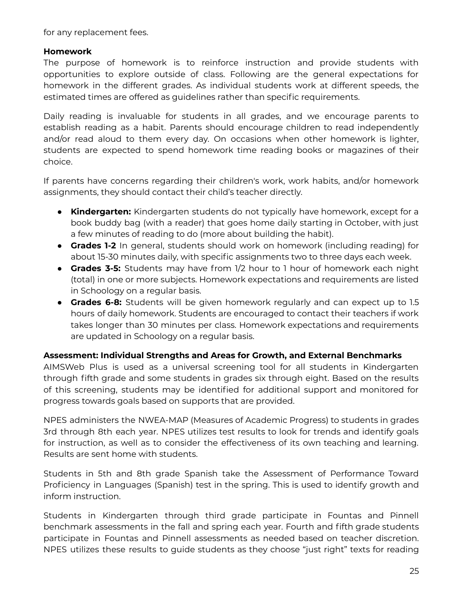for any replacement fees.

# **Homework**

The purpose of homework is to reinforce instruction and provide students with opportunities to explore outside of class. Following are the general expectations for homework in the different grades. As individual students work at different speeds, the estimated times are offered as guidelines rather than specific requirements.

Daily reading is invaluable for students in all grades, and we encourage parents to establish reading as a habit. Parents should encourage children to read independently and/or read aloud to them every day. On occasions when other homework is lighter, students are expected to spend homework time reading books or magazines of their choice.

If parents have concerns regarding their children's work, work habits, and/or homework assignments, they should contact their child's teacher directly.

- **● Kindergarten:** Kindergarten students do not typically have homework, except for a book buddy bag (with a reader) that goes home daily starting in October, with just a few minutes of reading to do (more about building the habit).
- **● Grades 1-2** In general, students should work on homework (including reading) for about 15-30 minutes daily, with specific assignments two to three days each week.
- **● Grades 3-5:** Students may have from 1/2 hour to 1 hour of homework each night (total) in one or more subjects. Homework expectations and requirements are listed in Schoology on a regular basis.
- **● Grades 6-8:** Students will be given homework regularly and can expect up to 1.5 hours of daily homework. Students are encouraged to contact their teachers if work takes longer than 30 minutes per class. Homework expectations and requirements are updated in Schoology on a regular basis.

# **Assessment: Individual Strengths and Areas for Growth, and External Benchmarks**

AIMSWeb Plus is used as a universal screening tool for all students in Kindergarten through fifth grade and some students in grades six through eight. Based on the results of this screening, students may be identified for additional support and monitored for progress towards goals based on supports that are provided.

NPES administers the NWEA-MAP (Measures of Academic Progress) to students in grades 3rd through 8th each year. NPES utilizes test results to look for trends and identify goals for instruction, as well as to consider the effectiveness of its own teaching and learning. Results are sent home with students.

Students in 5th and 8th grade Spanish take the Assessment of Performance Toward Proficiency in Languages (Spanish) test in the spring. This is used to identify growth and inform instruction.

Students in Kindergarten through third grade participate in Fountas and Pinnell benchmark assessments in the fall and spring each year. Fourth and fifth grade students participate in Fountas and Pinnell assessments as needed based on teacher discretion. NPES utilizes these results to guide students as they choose "just right" texts for reading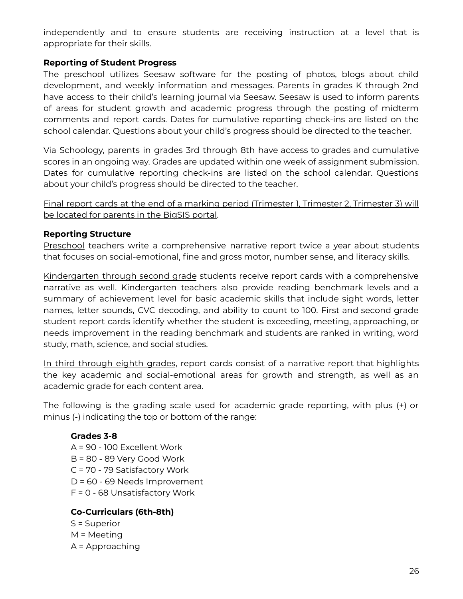independently and to ensure students are receiving instruction at a level that is appropriate for their skills.

# **Reporting of Student Progress**

The preschool utilizes Seesaw software for the posting of photos, blogs about child development, and weekly information and messages. Parents in grades K through 2nd have access to their child's learning journal via Seesaw. Seesaw is used to inform parents of areas for student growth and academic progress through the posting of midterm comments and report cards. Dates for cumulative reporting check-ins are listed on the school calendar. Questions about your child's progress should be directed to the teacher.

Via Schoology, parents in grades 3rd through 8th have access to grades and cumulative scores in an ongoing way. Grades are updated within one week of assignment submission. Dates for cumulative reporting check-ins are listed on the school calendar. Questions about your child's progress should be directed to the teacher.

Final report cards at the end of a marking period (Trimester 1, Trimester 2, Trimester 3) will be located for parents in the BigSIS portal.

# **Reporting Structure**

Preschool teachers write a comprehensive narrative report twice a year about students that focuses on social-emotional, fine and gross motor, number sense, and literacy skills.

Kindergarten through second grade students receive report cards with a comprehensive narrative as well. Kindergarten teachers also provide reading benchmark levels and a summary of achievement level for basic academic skills that include sight words, letter names, letter sounds, CVC decoding, and ability to count to 100. First and second grade student report cards identify whether the student is exceeding, meeting, approaching, or needs improvement in the reading benchmark and students are ranked in writing, word study, math, science, and social studies.

In third through eighth grades, report cards consist of a narrative report that highlights the key academic and social-emotional areas for growth and strength, as well as an academic grade for each content area.

The following is the grading scale used for academic grade reporting, with plus (+) or minus (-) indicating the top or bottom of the range:

# **Grades 3-8**

A = 90 - 100 Excellent Work B = 80 - 89 Very Good Work C = 70 - 79 Satisfactory Work D = 60 - 69 Needs Improvement F = 0 - 68 Unsatisfactory Work

# **Co-Curriculars (6th-8th)**

S = Superior M = Meeting A = Approaching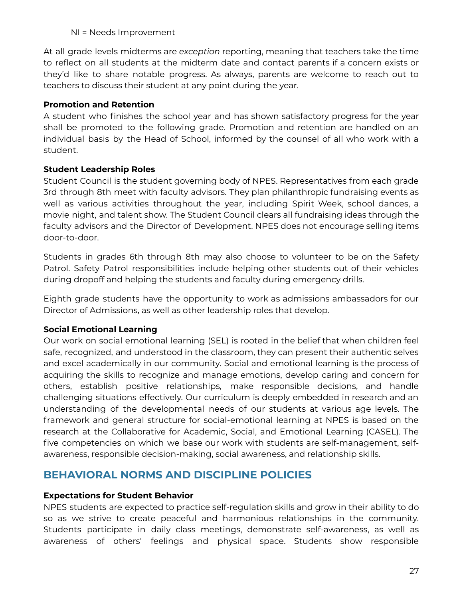NI = Needs Improvement

At all grade levels midterms are *exception* reporting, meaning that teachers take the time to reflect on all students at the midterm date and contact parents if a concern exists or they'd like to share notable progress. As always, parents are welcome to reach out to teachers to discuss their student at any point during the year.

# **Promotion and Retention**

A student who finishes the school year and has shown satisfactory progress for the year shall be promoted to the following grade. Promotion and retention are handled on an individual basis by the Head of School, informed by the counsel of all who work with a student.

# **Student Leadership Roles**

Student Council is the student governing body of NPES. Representatives from each grade 3rd through 8th meet with faculty advisors. They plan philanthropic fundraising events as well as various activities throughout the year, including Spirit Week, school dances, a movie night, and talent show. The Student Council clears all fundraising ideas through the faculty advisors and the Director of Development. NPES does not encourage selling items door-to-door.

Students in grades 6th through 8th may also choose to volunteer to be on the Safety Patrol. Safety Patrol responsibilities include helping other students out of their vehicles during dropoff and helping the students and faculty during emergency drills.

Eighth grade students have the opportunity to work as admissions ambassadors for our Director of Admissions, as well as other leadership roles that develop.

# **Social Emotional Learning**

Our work on social emotional learning (SEL) is rooted in the belief that when children feel safe, recognized, and understood in the classroom, they can present their authentic selves and excel academically in our community. Social and emotional learning is the process of acquiring the skills to recognize and manage emotions, develop caring and concern for others, establish positive relationships, make responsible decisions, and handle challenging situations effectively. Our curriculum is deeply embedded in research and an understanding of the developmental needs of our students at various age levels. The framework and general structure for social-emotional learning at NPES is based on the research at the Collaborative for Academic, Social, and Emotional Learning (CASEL). The five competencies on which we base our work with students are self-management, selfawareness, responsible decision-making, social awareness, and relationship skills.

# **BEHAVIORAL NORMS AND DISCIPLINE POLICIES**

# **Expectations for Student Behavior**

NPES students are expected to practice self-regulation skills and grow in their ability to do so as we strive to create peaceful and harmonious relationships in the community. Students participate in daily class meetings, demonstrate self-awareness, as well as awareness of others' feelings and physical space. Students show responsible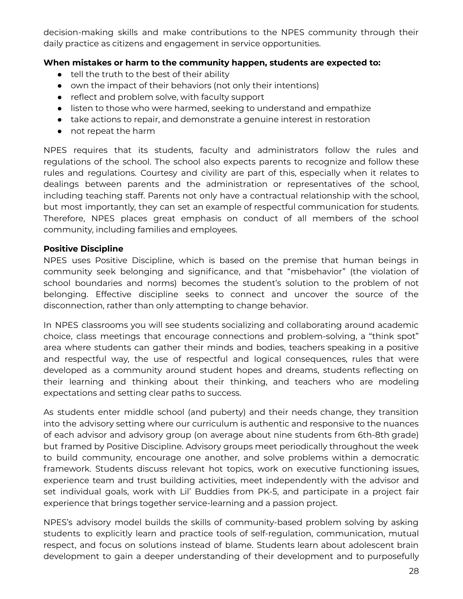decision-making skills and make contributions to the NPES community through their daily practice as citizens and engagement in service opportunities.

# **When mistakes or harm to the community happen, students are expected to:**

- tell the truth to the best of their ability
- own the impact of their behaviors (not only their intentions)
- reflect and problem solve, with faculty support
- listen to those who were harmed, seeking to understand and empathize
- take actions to repair, and demonstrate a genuine interest in restoration
- not repeat the harm

NPES requires that its students, faculty and administrators follow the rules and regulations of the school. The school also expects parents to recognize and follow these rules and regulations. Courtesy and civility are part of this, especially when it relates to dealings between parents and the administration or representatives of the school, including teaching staff. Parents not only have a contractual relationship with the school, but most importantly, they can set an example of respectful communication for students. Therefore, NPES places great emphasis on conduct of all members of the school community, including families and employees.

# **Positive Discipline**

NPES uses Positive Discipline, which is based on the premise that human beings in community seek belonging and significance, and that "misbehavior" (the violation of school boundaries and norms) becomes the student's solution to the problem of not belonging. Effective discipline seeks to connect and uncover the source of the disconnection, rather than only attempting to change behavior.

In NPES classrooms you will see students socializing and collaborating around academic choice, class meetings that encourage connections and problem-solving, a "think spot" area where students can gather their minds and bodies, teachers speaking in a positive and respectful way, the use of respectful and logical consequences, rules that were developed as a community around student hopes and dreams, students reflecting on their learning and thinking about their thinking, and teachers who are modeling expectations and setting clear paths to success.

As students enter middle school (and puberty) and their needs change, they transition into the advisory setting where our curriculum is authentic and responsive to the nuances of each advisor and advisory group (on average about nine students from 6th-8th grade) but framed by Positive Discipline. Advisory groups meet periodically throughout the week to build community, encourage one another, and solve problems within a democratic framework. Students discuss relevant hot topics, work on executive functioning issues, experience team and trust building activities, meet independently with the advisor and set individual goals, work with Lil' Buddies from PK-5, and participate in a project fair experience that brings together service-learning and a passion project.

NPES's advisory model builds the skills of community-based problem solving by asking students to explicitly learn and practice tools of self-regulation, communication, mutual respect, and focus on solutions instead of blame. Students learn about adolescent brain development to gain a deeper understanding of their development and to purposefully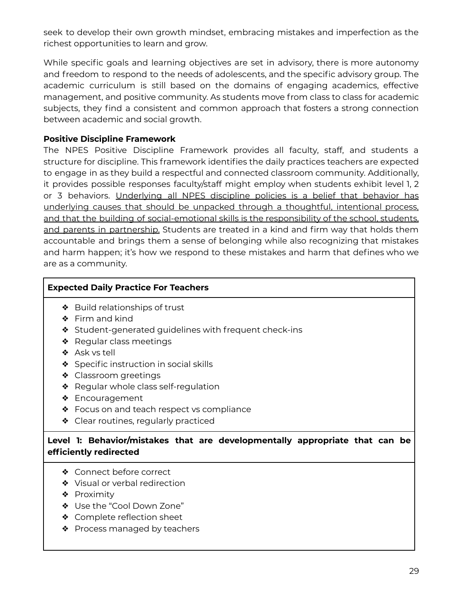seek to develop their own growth mindset, embracing mistakes and imperfection as the richest opportunities to learn and grow.

While specific goals and learning objectives are set in advisory, there is more autonomy and freedom to respond to the needs of adolescents, and the specific advisory group. The academic curriculum is still based on the domains of engaging academics, effective management, and positive community. As students move from class to class for academic subjects, they find a consistent and common approach that fosters a strong connection between academic and social growth.

# **Positive Discipline Framework**

The NPES Positive Discipline Framework provides all faculty, staff, and students a structure for discipline. This framework identifies the daily practices teachers are expected to engage in as they build a respectful and connected classroom community. Additionally, it provides possible responses faculty/staff might employ when students exhibit level 1, 2 or 3 behaviors. Underlying all NPES discipline policies is a belief that behavior has underlying causes that should be unpacked through a thoughtful, intentional process, and that the building of social-emotional skills is the responsibility of the school, students, and parents in partnership. Students are treated in a kind and firm way that holds them accountable and brings them a sense of belonging while also recognizing that mistakes and harm happen; it's how we respond to these mistakes and harm that defines who we are as a community.

# **Expected Daily Practice For Teachers**

- ❖ Build relationships of trust
- ❖ Firm and kind
- ❖ Student-generated guidelines with frequent check-ins
- ❖ Regular class meetings
- ❖ Ask vs tell
- ❖ Specific instruction in social skills
- ❖ Classroom greetings
- ❖ Regular whole class self-regulation
- ❖ Encouragement
- ❖ Focus on and teach respect vs compliance
- ❖ Clear routines, regularly practiced

# **Level 1: Behavior/mistakes that are developmentally appropriate that can be efficiently redirected**

- ❖ Connect before correct
- ❖ Visual or verbal redirection
- ❖ Proximity
- ❖ Use the "Cool Down Zone"
- ❖ Complete reflection sheet
- ❖ Process managed by teachers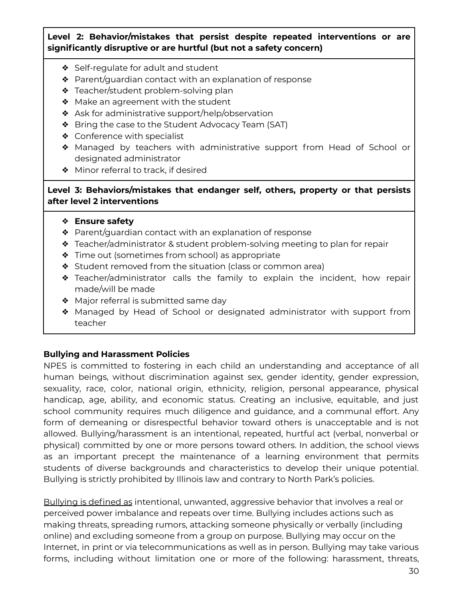# **Level 2: Behavior/mistakes that persist despite repeated interventions or are significantly disruptive or are hurtful (but not a safety concern)**

- ❖ Self-regulate for adult and student
- ❖ Parent/guardian contact with an explanation of response
- ❖ Teacher/student problem-solving plan
- ❖ Make an agreement with the student
- ❖ Ask for administrative support/help/observation
- ❖ Bring the case to the Student Advocacy Team (SAT)
- ❖ Conference with specialist
- ❖ Managed by teachers with administrative support from Head of School or designated administrator
- ❖ Minor referral to track, if desired

# **Level 3: Behaviors/mistakes that endanger self, others, property or that persists after level 2 interventions**

- ❖ **Ensure safety**
- ❖ Parent/guardian contact with an explanation of response
- ❖ Teacher/administrator & student problem-solving meeting to plan for repair
- ❖ Time out (sometimes from school) as appropriate
- ❖ Student removed from the situation (class or common area)
- ❖ Teacher/administrator calls the family to explain the incident, how repair made/will be made
- ❖ Major referral is submitted same day
- ❖ Managed by Head of School or designated administrator with support from teacher

# **Bullying and Harassment Policies**

NPES is committed to fostering in each child an understanding and acceptance of all human beings, without discrimination against sex, gender identity, gender expression, sexuality, race, color, national origin, ethnicity, religion, personal appearance, physical handicap, age, ability, and economic status. Creating an inclusive, equitable, and just school community requires much diligence and guidance, and a communal effort. Any form of demeaning or disrespectful behavior toward others is unacceptable and is not allowed. Bullying/harassment is an intentional, repeated, hurtful act (verbal, nonverbal or physical) committed by one or more persons toward others. In addition, the school views as an important precept the maintenance of a learning environment that permits students of diverse backgrounds and characteristics to develop their unique potential. Bullying is strictly prohibited by Illinois law and contrary to North Park's policies.

Bullying is defined as intentional, unwanted, aggressive behavior that involves a real or perceived power imbalance and repeats over time. Bullying includes actions such as making threats, spreading rumors, attacking someone physically or verbally (including online) and excluding someone from a group on purpose. Bullying may occur on the Internet, in print or via telecommunications as well as in person. Bullying may take various forms, including without limitation one or more of the following: harassment, threats,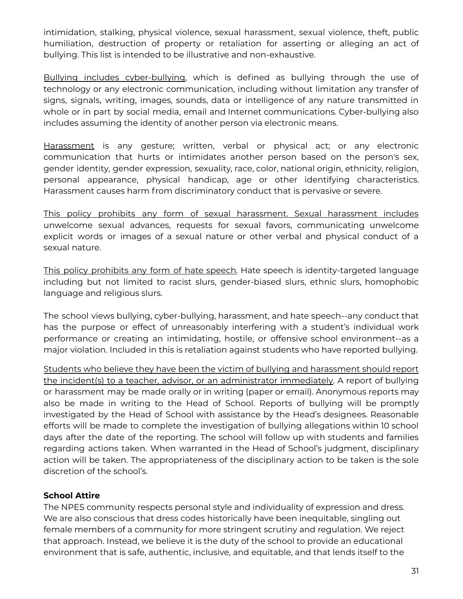intimidation, stalking, physical violence, sexual harassment, sexual violence, theft, public humiliation, destruction of property or retaliation for asserting or alleging an act of bullying. This list is intended to be illustrative and non-exhaustive.

Bullying includes cyber-bullying, which is defined as bullying through the use of technology or any electronic communication, including without limitation any transfer of signs, signals, writing, images, sounds, data or intelligence of any nature transmitted in whole or in part by social media, email and Internet communications. Cyber-bullying also includes assuming the identity of another person via electronic means.

Harassment is any gesture; written, verbal or physical act; or any electronic communication that hurts or intimidates another person based on the person's sex, gender identity, gender expression, sexuality, race, color, national origin, ethnicity, religion, personal appearance, physical handicap, age or other identifying characteristics. Harassment causes harm from discriminatory conduct that is pervasive or severe.

This policy prohibits any form of sexual harassment. Sexual harassment includes unwelcome sexual advances, requests for sexual favors, communicating unwelcome explicit words or images of a sexual nature or other verbal and physical conduct of a sexual nature.

This policy prohibits any form of hate speech. Hate speech is identity-targeted language including but not limited to racist slurs, gender-biased slurs, ethnic slurs, homophobic language and religious slurs.

The school views bullying, cyber-bullying, harassment, and hate speech--any conduct that has the purpose or effect of unreasonably interfering with a student's individual work performance or creating an intimidating, hostile, or offensive school environment--as a major violation. Included in this is retaliation against students who have reported bullying.

Students who believe they have been the victim of bullying and harassment should report the incident(s) to a teacher, advisor, or an administrator immediately. A report of bullying or harassment may be made orally or in writing (paper or email). Anonymous reports may also be made in writing to the Head of School. Reports of bullying will be promptly investigated by the Head of School with assistance by the Head's designees. Reasonable efforts will be made to complete the investigation of bullying allegations within 10 school days after the date of the reporting. The school will follow up with students and families regarding actions taken. When warranted in the Head of School's judgment, disciplinary action will be taken. The appropriateness of the disciplinary action to be taken is the sole discretion of the school's.

# **School Attire**

The NPES community respects personal style and individuality of expression and dress. We are also conscious that dress codes historically have been inequitable, singling out female members of a community for more stringent scrutiny and regulation. We reject that approach. Instead, we believe it is the duty of the school to provide an educational environment that is safe, authentic, inclusive, and equitable, and that lends itself to the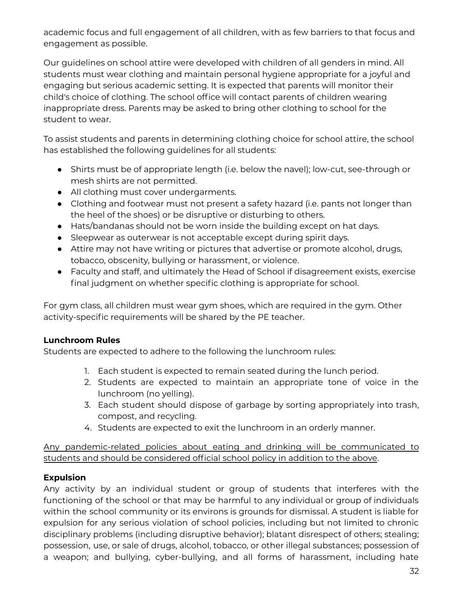academic focus and full engagement of all children, with as few barriers to that focus and engagement as possible.

Our guidelines on school attire were developed with children of all genders in mind. All students must wear clothing and maintain personal hygiene appropriate for a joyful and engaging but serious academic setting. It is expected that parents will monitor their child's choice of clothing. The school office will contact parents of children wearing inappropriate dress. Parents may be asked to bring other clothing to school for the student to wear.

To assist students and parents in determining clothing choice for school attire, the school has established the following guidelines for all students:

- Shirts must be of appropriate length (i.e. below the navel); low-cut, see-through or mesh shirts are not permitted.
- All clothing must cover undergarments.
- Clothing and footwear must not present a safety hazard (i.e. pants not longer than the heel of the shoes) or be disruptive or disturbing to others.
- Hats/bandanas should not be worn inside the building except on hat days.
- Sleepwear as outerwear is not acceptable except during spirit days.
- Attire may not have writing or pictures that advertise or promote alcohol, drugs, tobacco, obscenity, bullying or harassment, or violence.
- Faculty and staff, and ultimately the Head of School if disagreement exists, exercise final judgment on whether specific clothing is appropriate for school.

For gym class, all children must wear gym shoes, which are required in the gym. Other activity-specific requirements will be shared by the PE teacher.

# **Lunchroom Rules**

Students are expected to adhere to the following the lunchroom rules:

- 1. Each student is expected to remain seated during the lunch period.
- 2. Students are expected to maintain an appropriate tone of voice in the lunchroom (no yelling).
- 3. Each student should dispose of garbage by sorting appropriately into trash, compost, and recycling.
- 4. Students are expected to exit the lunchroom in an orderly manner.

Any pandemic-related policies about eating and drinking will be communicated to students and should be considered official school policy in addition to the above.

# **Expulsion**

Any activity by an individual student or group of students that interferes with the functioning of the school or that may be harmful to any individual or group of individuals within the school community or its environs is grounds for dismissal. A student is liable for expulsion for any serious violation of school policies, including but not limited to chronic disciplinary problems (including disruptive behavior); blatant disrespect of others; stealing; possession, use, or sale of drugs, alcohol, tobacco, or other illegal substances; possession of a weapon; and bullying, cyber-bullying, and all forms of harassment, including hate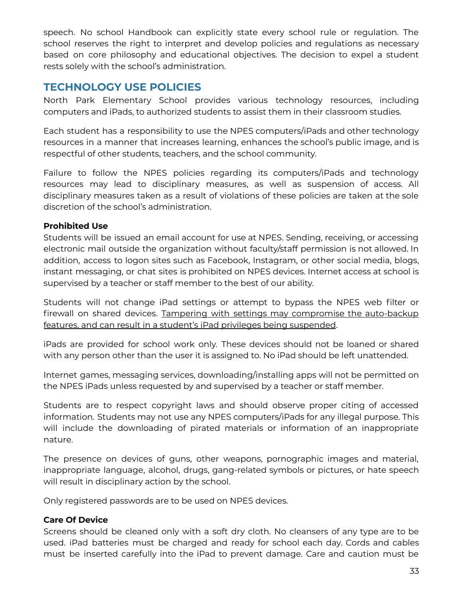speech. No school Handbook can explicitly state every school rule or regulation. The school reserves the right to interpret and develop policies and regulations as necessary based on core philosophy and educational objectives. The decision to expel a student rests solely with the school's administration.

# **TECHNOLOGY USE POLICIES**

North Park Elementary School provides various technology resources, including computers and iPads, to authorized students to assist them in their classroom studies.

Each student has a responsibility to use the NPES computers/iPads and other technology resources in a manner that increases learning, enhances the school's public image, and is respectful of other students, teachers, and the school community.

Failure to follow the NPES policies regarding its computers/iPads and technology resources may lead to disciplinary measures, as well as suspension of access. All disciplinary measures taken as a result of violations of these policies are taken at the sole discretion of the school's administration.

# **Prohibited Use**

Students will be issued an email account for use at NPES. Sending, receiving, or accessing electronic mail outside the organization without faculty/staff permission is not allowed. In addition, access to logon sites such as Facebook, Instagram, or other social media, blogs, instant messaging, or chat sites is prohibited on NPES devices. Internet access at school is supervised by a teacher or staff member to the best of our ability.

Students will not change iPad settings or attempt to bypass the NPES web filter or firewall on shared devices. Tampering with settings may compromise the auto-backup features, and can result in a student's iPad privileges being suspended.

iPads are provided for school work only. These devices should not be loaned or shared with any person other than the user it is assigned to. No iPad should be left unattended.

Internet games, messaging services, downloading/installing apps will not be permitted on the NPES iPads unless requested by and supervised by a teacher or staff member.

Students are to respect copyright laws and should observe proper citing of accessed information. Students may not use any NPES computers/iPads for any illegal purpose. This will include the downloading of pirated materials or information of an inappropriate nature.

The presence on devices of guns, other weapons, pornographic images and material, inappropriate language, alcohol, drugs, gang-related symbols or pictures, or hate speech will result in disciplinary action by the school.

Only registered passwords are to be used on NPES devices.

# **Care Of Device**

Screens should be cleaned only with a soft dry cloth. No cleansers of any type are to be used. iPad batteries must be charged and ready for school each day. Cords and cables must be inserted carefully into the iPad to prevent damage. Care and caution must be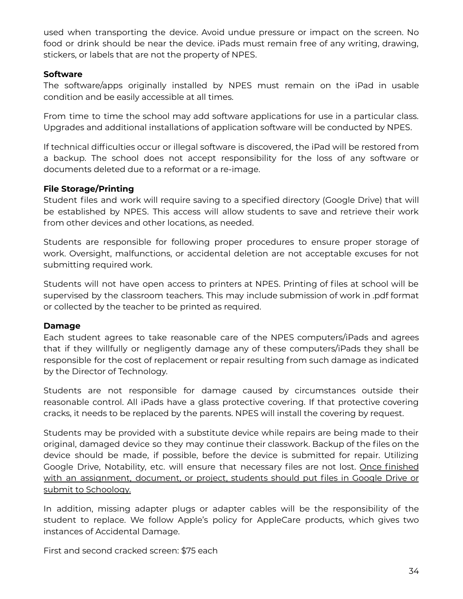used when transporting the device. Avoid undue pressure or impact on the screen. No food or drink should be near the device. iPads must remain free of any writing, drawing, stickers, or labels that are not the property of NPES.

# **Software**

The software/apps originally installed by NPES must remain on the iPad in usable condition and be easily accessible at all times.

From time to time the school may add software applications for use in a particular class. Upgrades and additional installations of application software will be conducted by NPES.

If technical difficulties occur or illegal software is discovered, the iPad will be restored from a backup. The school does not accept responsibility for the loss of any software or documents deleted due to a reformat or a re-image.

# **File Storage/Printing**

Student files and work will require saving to a specified directory (Google Drive) that will be established by NPES. This access will allow students to save and retrieve their work from other devices and other locations, as needed.

Students are responsible for following proper procedures to ensure proper storage of work. Oversight, malfunctions, or accidental deletion are not acceptable excuses for not submitting required work.

Students will not have open access to printers at NPES. Printing of files at school will be supervised by the classroom teachers. This may include submission of work in .pdf format or collected by the teacher to be printed as required.

# **Damage**

Each student agrees to take reasonable care of the NPES computers/iPads and agrees that if they willfully or negligently damage any of these computers/iPads they shall be responsible for the cost of replacement or repair resulting from such damage as indicated by the Director of Technology.

Students are not responsible for damage caused by circumstances outside their reasonable control. All iPads have a glass protective covering. If that protective covering cracks, it needs to be replaced by the parents. NPES will install the covering by request.

Students may be provided with a substitute device while repairs are being made to their original, damaged device so they may continue their classwork. Backup of the files on the device should be made, if possible, before the device is submitted for repair. Utilizing Google Drive, Notability, etc. will ensure that necessary files are not lost. Once finished with an assignment, document, or project, students should put files in Google Drive or submit to Schoology.

In addition, missing adapter plugs or adapter cables will be the responsibility of the student to replace. We follow Apple's policy for AppleCare products, which gives two instances of Accidental Damage.

First and second cracked screen: \$75 each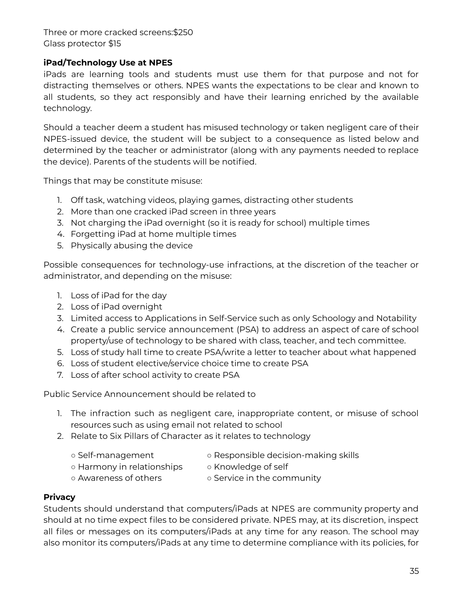Three or more cracked screens:\$250 Glass protector \$15

# **iPad/Technology Use at NPES**

iPads are learning tools and students must use them for that purpose and not for distracting themselves or others. NPES wants the expectations to be clear and known to all students, so they act responsibly and have their learning enriched by the available technology.

Should a teacher deem a student has misused technology or taken negligent care of their NPES-issued device, the student will be subject to a consequence as listed below and determined by the teacher or administrator (along with any payments needed to replace the device). Parents of the students will be notified.

Things that may be constitute misuse:

- 1. Off task, watching videos, playing games, distracting other students
- 2. More than one cracked iPad screen in three years
- 3. Not charging the iPad overnight (so it is ready for school) multiple times
- 4. Forgetting iPad at home multiple times
- 5. Physically abusing the device

Possible consequences for technology-use infractions, at the discretion of the teacher or administrator, and depending on the misuse:

- 1. Loss of iPad for the day
- 2. Loss of iPad overnight
- 3. Limited access to Applications in Self-Service such as only Schoology and Notability
- 4. Create a public service announcement (PSA) to address an aspect of care of school property/use of technology to be shared with class, teacher, and tech committee.
- 5. Loss of study hall time to create PSA/write a letter to teacher about what happened
- 6. Loss of student elective/service choice time to create PSA
- 7. Loss of after school activity to create PSA

Public Service Announcement should be related to

- 1. The infraction such as negligent care, inappropriate content, or misuse of school resources such as using email not related to school
- 2. Relate to Six Pillars of Character as it relates to technology
	-
	- Self-management △ Responsible decision-making skills
	- Harmony in relationships o Knowledge of self
- -
	- Awareness of others Service in the community

# **Privacy**

Students should understand that computers/iPads at NPES are community property and should at no time expect files to be considered private. NPES may, at its discretion, inspect all files or messages on its computers/iPads at any time for any reason. The school may also monitor its computers/iPads at any time to determine compliance with its policies, for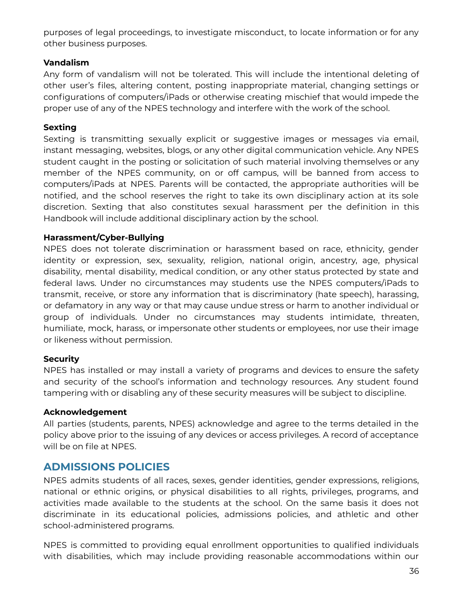purposes of legal proceedings, to investigate misconduct, to locate information or for any other business purposes.

# **Vandalism**

Any form of vandalism will not be tolerated. This will include the intentional deleting of other user's files, altering content, posting inappropriate material, changing settings or configurations of computers/iPads or otherwise creating mischief that would impede the proper use of any of the NPES technology and interfere with the work of the school.

# **Sexting**

Sexting is transmitting sexually explicit or suggestive images or messages via email, instant messaging, websites, blogs, or any other digital communication vehicle. Any NPES student caught in the posting or solicitation of such material involving themselves or any member of the NPES community, on or off campus, will be banned from access to computers/iPads at NPES. Parents will be contacted, the appropriate authorities will be notified, and the school reserves the right to take its own disciplinary action at its sole discretion. Sexting that also constitutes sexual harassment per the definition in this Handbook will include additional disciplinary action by the school.

# **Harassment/Cyber-Bullying**

NPES does not tolerate discrimination or harassment based on race, ethnicity, gender identity or expression, sex, sexuality, religion, national origin, ancestry, age, physical disability, mental disability, medical condition, or any other status protected by state and federal laws. Under no circumstances may students use the NPES computers/iPads to transmit, receive, or store any information that is discriminatory (hate speech), harassing, or defamatory in any way or that may cause undue stress or harm to another individual or group of individuals. Under no circumstances may students intimidate, threaten, humiliate, mock, harass, or impersonate other students or employees, nor use their image or likeness without permission.

# **Security**

NPES has installed or may install a variety of programs and devices to ensure the safety and security of the school's information and technology resources. Any student found tampering with or disabling any of these security measures will be subject to discipline.

# **Acknowledgement**

All parties (students, parents, NPES) acknowledge and agree to the terms detailed in the policy above prior to the issuing of any devices or access privileges. A record of acceptance will be on file at NPES.

# **ADMISSIONS POLICIES**

NPES admits students of all races, sexes, gender identities, gender expressions, religions, national or ethnic origins, or physical disabilities to all rights, privileges, programs, and activities made available to the students at the school. On the same basis it does not discriminate in its educational policies, admissions policies, and athletic and other school-administered programs.

NPES is committed to providing equal enrollment opportunities to qualified individuals with disabilities, which may include providing reasonable accommodations within our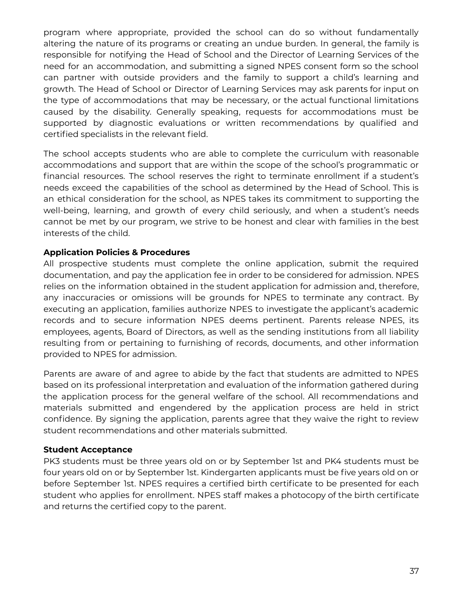program where appropriate, provided the school can do so without fundamentally altering the nature of its programs or creating an undue burden. In general, the family is responsible for notifying the Head of School and the Director of Learning Services of the need for an accommodation, and submitting a signed NPES consent form so the school can partner with outside providers and the family to support a child's learning and growth. The Head of School or Director of Learning Services may ask parents for input on the type of accommodations that may be necessary, or the actual functional limitations caused by the disability. Generally speaking, requests for accommodations must be supported by diagnostic evaluations or written recommendations by qualified and certified specialists in the relevant field.

The school accepts students who are able to complete the curriculum with reasonable accommodations and support that are within the scope of the school's programmatic or financial resources. The school reserves the right to terminate enrollment if a student's needs exceed the capabilities of the school as determined by the Head of School. This is an ethical consideration for the school, as NPES takes its commitment to supporting the well-being, learning, and growth of every child seriously, and when a student's needs cannot be met by our program, we strive to be honest and clear with families in the best interests of the child.

# **Application Policies & Procedures**

All prospective students must complete the online application, submit the required documentation, and pay the application fee in order to be considered for admission. NPES relies on the information obtained in the student application for admission and, therefore, any inaccuracies or omissions will be grounds for NPES to terminate any contract. By executing an application, families authorize NPES to investigate the applicant's academic records and to secure information NPES deems pertinent. Parents release NPES, its employees, agents, Board of Directors, as well as the sending institutions from all liability resulting from or pertaining to furnishing of records, documents, and other information provided to NPES for admission.

Parents are aware of and agree to abide by the fact that students are admitted to NPES based on its professional interpretation and evaluation of the information gathered during the application process for the general welfare of the school. All recommendations and materials submitted and engendered by the application process are held in strict confidence. By signing the application, parents agree that they waive the right to review student recommendations and other materials submitted.

# **Student Acceptance**

PK3 students must be three years old on or by September 1st and PK4 students must be four years old on or by September 1st. Kindergarten applicants must be five years old on or before September 1st. NPES requires a certified birth certificate to be presented for each student who applies for enrollment. NPES staff makes a photocopy of the birth certificate and returns the certified copy to the parent.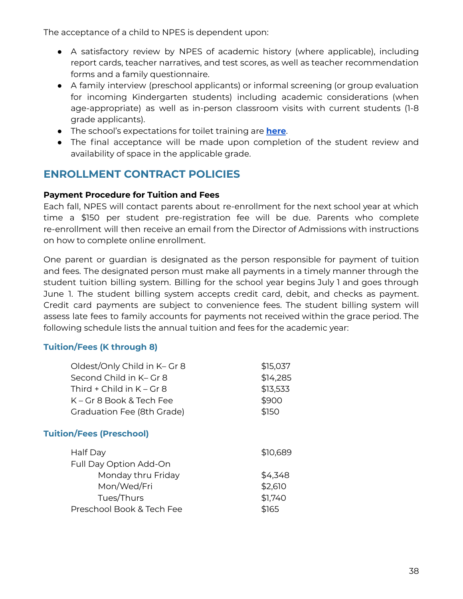The acceptance of a child to NPES is dependent upon:

- A satisfactory review by NPES of academic history (where applicable), including report cards, teacher narratives, and test scores, as well as teacher recommendation forms and a family questionnaire.
- A family interview (preschool applicants) or informal screening (or group evaluation for incoming Kindergarten students) including academic considerations (when age-appropriate) as well as in-person classroom visits with current students (1-8 grade applicants).
- The school's expectations for toilet training are **[here](https://docs.google.com/document/d/1Jdj1ZUwHHH9c_xNTCC6TQiDmOsk-x0Eff9m24_yo0gk/edit?usp=sharing)**.
- The final acceptance will be made upon completion of the student review and availability of space in the applicable grade.

# **ENROLLMENT CONTRACT POLICIES**

# **Payment Procedure for Tuition and Fees**

Each fall, NPES will contact parents about re-enrollment for the next school year at which time a \$150 per student pre-registration fee will be due. Parents who complete re-enrollment will then receive an email from the Director of Admissions with instructions on how to complete online enrollment.

One parent or guardian is designated as the person responsible for payment of tuition and fees. The designated person must make all payments in a timely manner through the student tuition billing system. Billing for the school year begins July 1 and goes through June 1. The student billing system accepts credit card, debit, and checks as payment. Credit card payments are subject to convenience fees. The student billing system will assess late fees to family accounts for payments not received within the grace period. The following schedule lists the annual tuition and fees for the academic year:

# **Tuition/Fees (K through 8)**

| Oldest/Only Child in K- Gr 8    | \$15,037 |
|---------------------------------|----------|
| Second Child in K- Gr 8         | \$14,285 |
| Third + Child in $K - Gr 8$     | \$13,533 |
| K – Gr 8 Book & Tech Fee        | \$900    |
| Graduation Fee (8th Grade)      | \$150    |
| <b>Tuition/Fees (Preschool)</b> |          |
| Half Day                        | \$10,689 |
| <b>Full Day Option Add-On</b>   |          |
| Monday thru Friday              | \$4,348  |
| Mon/Wed/Fri                     | \$2,610  |
| Tues/Thurs                      | \$1,740  |
| Preschool Book & Tech Fee       | \$165    |
|                                 |          |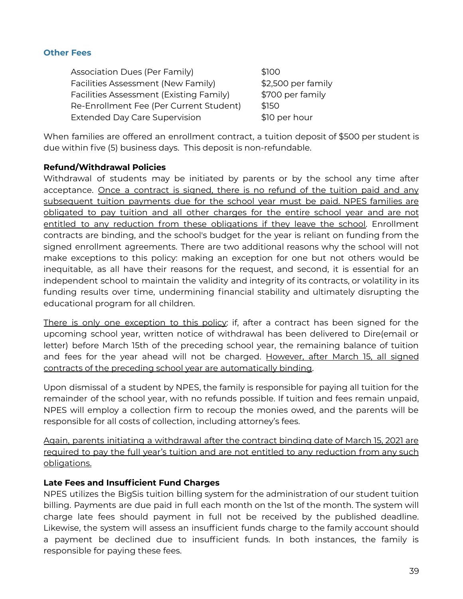#### **Other Fees**

| <b>Association Dues (Per Family)</b>    | \$100              |
|-----------------------------------------|--------------------|
| Facilities Assessment (New Family)      | \$2,500 per family |
| Facilities Assessment (Existing Family) | \$700 per family   |
| Re-Enrollment Fee (Per Current Student) | \$150              |
| <b>Extended Day Care Supervision</b>    | \$10 per hour      |

When families are offered an enrollment contract, a tuition deposit of \$500 per student is due within five (5) business days. This deposit is non-refundable.

# **Refund/Withdrawal Policies**

Withdrawal of students may be initiated by parents or by the school any time after acceptance. Once a contract is signed, there is no refund of the tuition paid and any subsequent tuition payments due for the school year must be paid. NPES families are obligated to pay tuition and all other charges for the entire school year and are not entitled to any reduction from these obligations if they leave the school. Enrollment contracts are binding, and the school's budget for the year is reliant on funding from the signed enrollment agreements. There are two additional reasons why the school will not make exceptions to this policy: making an exception for one but not others would be inequitable, as all have their reasons for the request, and second, it is essential for an independent school to maintain the validity and integrity of its contracts, or volatility in its funding results over time, undermining financial stability and ultimately disrupting the educational program for all children.

There is only one exception to this policy: if, after a contract has been signed for the upcoming school year, written notice of withdrawal has been delivered to Dire(email or letter) before March 15th of the preceding school year, the remaining balance of tuition and fees for the year ahead will not be charged. However, after March 15, all signed contracts of the preceding school year are automatically binding.

Upon dismissal of a student by NPES, the family is responsible for paying all tuition for the remainder of the school year, with no refunds possible. If tuition and fees remain unpaid, NPES will employ a collection firm to recoup the monies owed, and the parents will be responsible for all costs of collection, including attorney's fees.

Again, parents initiating a withdrawal after the contract binding date of March 15, 2021 are required to pay the full year's tuition and are not entitled to any reduction from any such obligations.

# **Late Fees and Insufficient Fund Charges**

NPES utilizes the BigSis tuition billing system for the administration of our student tuition billing. Payments are due paid in full each month on the 1st of the month. The system will charge late fees should payment in full not be received by the published deadline. Likewise, the system will assess an insufficient funds charge to the family account should a payment be declined due to insufficient funds. In both instances, the family is responsible for paying these fees.